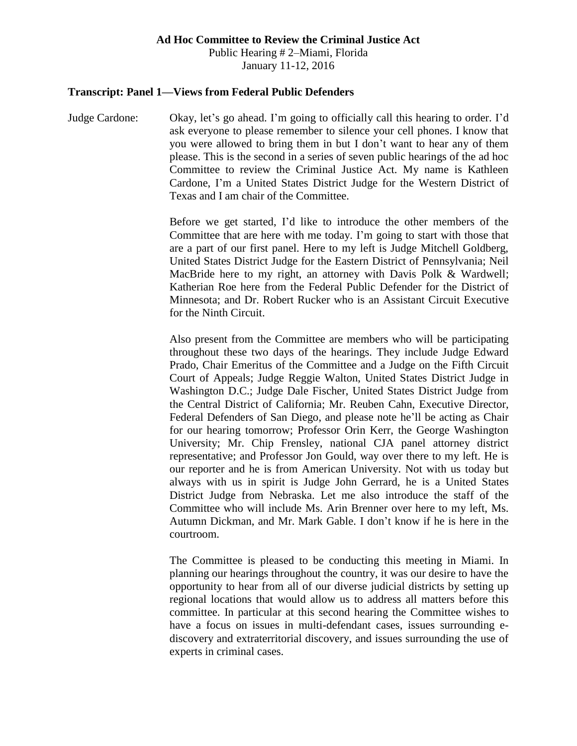#### **Ad Hoc Committee to Review the Criminal Justice Act**

Public Hearing # 2–Miami, Florida January 11-12, 2016

#### **Transcript: Panel 1—Views from Federal Public Defenders**

Judge Cardone: Okay, let's go ahead. I'm going to officially call this hearing to order. I'd ask everyone to please remember to silence your cell phones. I know that you were allowed to bring them in but I don't want to hear any of them please. This is the second in a series of seven public hearings of the ad hoc Committee to review the Criminal Justice Act. My name is Kathleen Cardone, I'm a United States District Judge for the Western District of Texas and I am chair of the Committee.

> Before we get started, I'd like to introduce the other members of the Committee that are here with me today. I'm going to start with those that are a part of our first panel. Here to my left is Judge Mitchell Goldberg, United States District Judge for the Eastern District of Pennsylvania; Neil MacBride here to my right, an attorney with Davis Polk & Wardwell; Katherian Roe here from the Federal Public Defender for the District of Minnesota; and Dr. Robert Rucker who is an Assistant Circuit Executive for the Ninth Circuit.

> Also present from the Committee are members who will be participating throughout these two days of the hearings. They include Judge Edward Prado, Chair Emeritus of the Committee and a Judge on the Fifth Circuit Court of Appeals; Judge Reggie Walton, United States District Judge in Washington D.C.; Judge Dale Fischer, United States District Judge from the Central District of California; Mr. Reuben Cahn, Executive Director, Federal Defenders of San Diego, and please note he'll be acting as Chair for our hearing tomorrow; Professor Orin Kerr, the George Washington University; Mr. Chip Frensley, national CJA panel attorney district representative; and Professor Jon Gould, way over there to my left. He is our reporter and he is from American University. Not with us today but always with us in spirit is Judge John Gerrard, he is a United States District Judge from Nebraska. Let me also introduce the staff of the Committee who will include Ms. Arin Brenner over here to my left, Ms. Autumn Dickman, and Mr. Mark Gable. I don't know if he is here in the courtroom.

> The Committee is pleased to be conducting this meeting in Miami. In planning our hearings throughout the country, it was our desire to have the opportunity to hear from all of our diverse judicial districts by setting up regional locations that would allow us to address all matters before this committee. In particular at this second hearing the Committee wishes to have a focus on issues in multi-defendant cases, issues surrounding ediscovery and extraterritorial discovery, and issues surrounding the use of experts in criminal cases.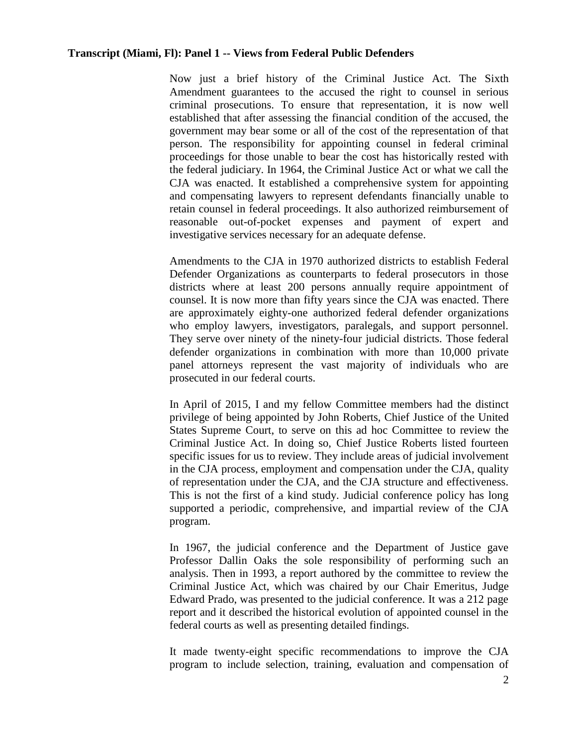Now just a brief history of the Criminal Justice Act. The Sixth Amendment guarantees to the accused the right to counsel in serious criminal prosecutions. To ensure that representation, it is now well established that after assessing the financial condition of the accused, the government may bear some or all of the cost of the representation of that person. The responsibility for appointing counsel in federal criminal proceedings for those unable to bear the cost has historically rested with the federal judiciary. In 1964, the Criminal Justice Act or what we call the CJA was enacted. It established a comprehensive system for appointing and compensating lawyers to represent defendants financially unable to retain counsel in federal proceedings. It also authorized reimbursement of reasonable out-of-pocket expenses and payment of expert and investigative services necessary for an adequate defense.

Amendments to the CJA in 1970 authorized districts to establish Federal Defender Organizations as counterparts to federal prosecutors in those districts where at least 200 persons annually require appointment of counsel. It is now more than fifty years since the CJA was enacted. There are approximately eighty-one authorized federal defender organizations who employ lawyers, investigators, paralegals, and support personnel. They serve over ninety of the ninety-four judicial districts. Those federal defender organizations in combination with more than 10,000 private panel attorneys represent the vast majority of individuals who are prosecuted in our federal courts.

In April of 2015, I and my fellow Committee members had the distinct privilege of being appointed by John Roberts, Chief Justice of the United States Supreme Court, to serve on this ad hoc Committee to review the Criminal Justice Act. In doing so, Chief Justice Roberts listed fourteen specific issues for us to review. They include areas of judicial involvement in the CJA process, employment and compensation under the CJA, quality of representation under the CJA, and the CJA structure and effectiveness. This is not the first of a kind study. Judicial conference policy has long supported a periodic, comprehensive, and impartial review of the CJA program.

In 1967, the judicial conference and the Department of Justice gave Professor Dallin Oaks the sole responsibility of performing such an analysis. Then in 1993, a report authored by the committee to review the Criminal Justice Act, which was chaired by our Chair Emeritus, Judge Edward Prado, was presented to the judicial conference. It was a 212 page report and it described the historical evolution of appointed counsel in the federal courts as well as presenting detailed findings.

It made twenty-eight specific recommendations to improve the CJA program to include selection, training, evaluation and compensation of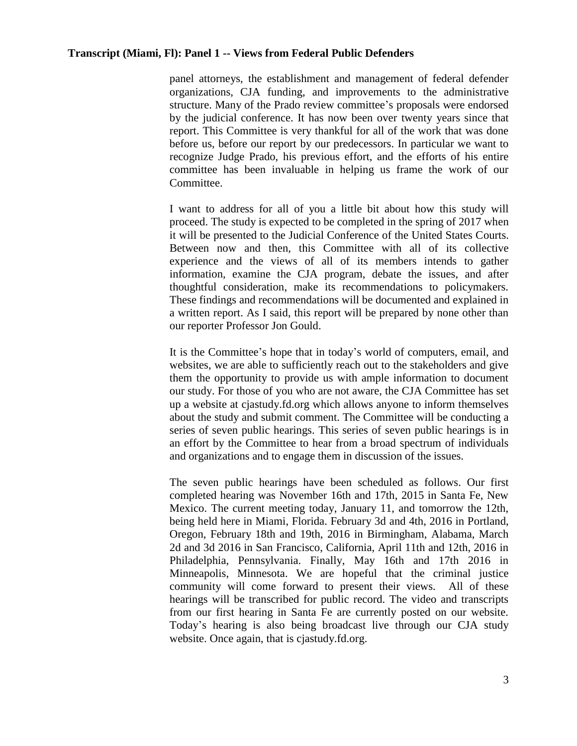panel attorneys, the establishment and management of federal defender organizations, CJA funding, and improvements to the administrative structure. Many of the Prado review committee's proposals were endorsed by the judicial conference. It has now been over twenty years since that report. This Committee is very thankful for all of the work that was done before us, before our report by our predecessors. In particular we want to recognize Judge Prado, his previous effort, and the efforts of his entire committee has been invaluable in helping us frame the work of our Committee.

I want to address for all of you a little bit about how this study will proceed. The study is expected to be completed in the spring of 2017 when it will be presented to the Judicial Conference of the United States Courts. Between now and then, this Committee with all of its collective experience and the views of all of its members intends to gather information, examine the CJA program, debate the issues, and after thoughtful consideration, make its recommendations to policymakers. These findings and recommendations will be documented and explained in a written report. As I said, this report will be prepared by none other than our reporter Professor Jon Gould.

It is the Committee's hope that in today's world of computers, email, and websites, we are able to sufficiently reach out to the stakeholders and give them the opportunity to provide us with ample information to document our study. For those of you who are not aware, the CJA Committee has set up a website at cjastudy.fd.org which allows anyone to inform themselves about the study and submit comment. The Committee will be conducting a series of seven public hearings. This series of seven public hearings is in an effort by the Committee to hear from a broad spectrum of individuals and organizations and to engage them in discussion of the issues.

The seven public hearings have been scheduled as follows. Our first completed hearing was November 16th and 17th, 2015 in Santa Fe, New Mexico. The current meeting today, January 11, and tomorrow the 12th, being held here in Miami, Florida. February 3d and 4th, 2016 in Portland, Oregon, February 18th and 19th, 2016 in Birmingham, Alabama, March 2d and 3d 2016 in San Francisco, California, April 11th and 12th, 2016 in Philadelphia, Pennsylvania. Finally, May 16th and 17th 2016 in Minneapolis, Minnesota. We are hopeful that the criminal justice community will come forward to present their views. All of these hearings will be transcribed for public record. The video and transcripts from our first hearing in Santa Fe are currently posted on our website. Today's hearing is also being broadcast live through our CJA study website. Once again, that is cjastudy.fd.org.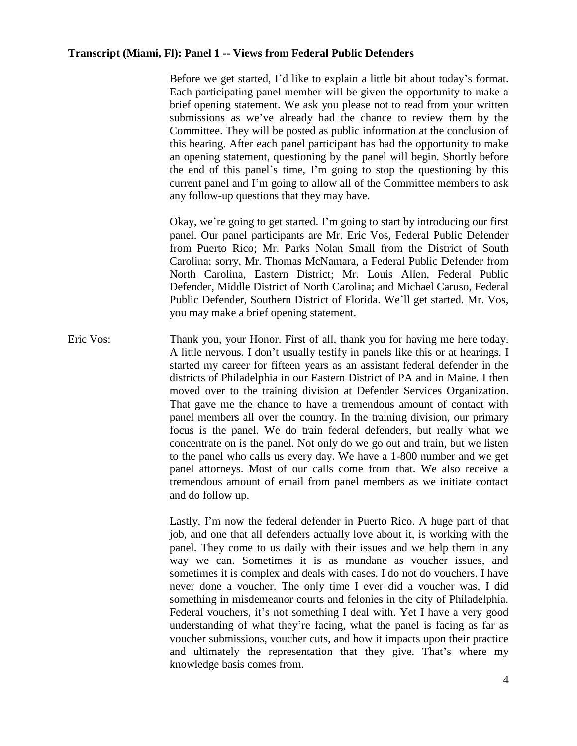Before we get started, I'd like to explain a little bit about today's format. Each participating panel member will be given the opportunity to make a brief opening statement. We ask you please not to read from your written submissions as we've already had the chance to review them by the Committee. They will be posted as public information at the conclusion of this hearing. After each panel participant has had the opportunity to make an opening statement, questioning by the panel will begin. Shortly before the end of this panel's time, I'm going to stop the questioning by this current panel and I'm going to allow all of the Committee members to ask any follow-up questions that they may have.

Okay, we're going to get started. I'm going to start by introducing our first panel. Our panel participants are Mr. Eric Vos, Federal Public Defender from Puerto Rico; Mr. Parks Nolan Small from the District of South Carolina; sorry, Mr. Thomas McNamara, a Federal Public Defender from North Carolina, Eastern District; Mr. Louis Allen, Federal Public Defender, Middle District of North Carolina; and Michael Caruso, Federal Public Defender, Southern District of Florida. We'll get started. Mr. Vos, you may make a brief opening statement.

Eric Vos: Thank you, your Honor. First of all, thank you for having me here today. A little nervous. I don't usually testify in panels like this or at hearings. I started my career for fifteen years as an assistant federal defender in the districts of Philadelphia in our Eastern District of PA and in Maine. I then moved over to the training division at Defender Services Organization. That gave me the chance to have a tremendous amount of contact with panel members all over the country. In the training division, our primary focus is the panel. We do train federal defenders, but really what we concentrate on is the panel. Not only do we go out and train, but we listen to the panel who calls us every day. We have a 1-800 number and we get panel attorneys. Most of our calls come from that. We also receive a tremendous amount of email from panel members as we initiate contact and do follow up.

> Lastly, I'm now the federal defender in Puerto Rico. A huge part of that job, and one that all defenders actually love about it, is working with the panel. They come to us daily with their issues and we help them in any way we can. Sometimes it is as mundane as voucher issues, and sometimes it is complex and deals with cases. I do not do vouchers. I have never done a voucher. The only time I ever did a voucher was, I did something in misdemeanor courts and felonies in the city of Philadelphia. Federal vouchers, it's not something I deal with. Yet I have a very good understanding of what they're facing, what the panel is facing as far as voucher submissions, voucher cuts, and how it impacts upon their practice and ultimately the representation that they give. That's where my knowledge basis comes from.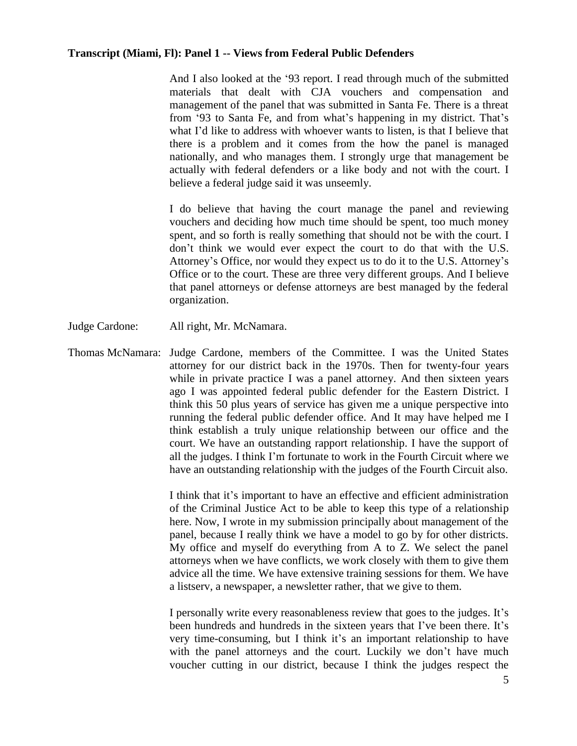And I also looked at the '93 report. I read through much of the submitted materials that dealt with CJA vouchers and compensation and management of the panel that was submitted in Santa Fe. There is a threat from '93 to Santa Fe, and from what's happening in my district. That's what I'd like to address with whoever wants to listen, is that I believe that there is a problem and it comes from the how the panel is managed nationally, and who manages them. I strongly urge that management be actually with federal defenders or a like body and not with the court. I believe a federal judge said it was unseemly.

I do believe that having the court manage the panel and reviewing vouchers and deciding how much time should be spent, too much money spent, and so forth is really something that should not be with the court. I don't think we would ever expect the court to do that with the U.S. Attorney's Office, nor would they expect us to do it to the U.S. Attorney's Office or to the court. These are three very different groups. And I believe that panel attorneys or defense attorneys are best managed by the federal organization.

Judge Cardone: All right, Mr. McNamara.

Thomas McNamara: Judge Cardone, members of the Committee. I was the United States attorney for our district back in the 1970s. Then for twenty-four years while in private practice I was a panel attorney. And then sixteen years ago I was appointed federal public defender for the Eastern District. I think this 50 plus years of service has given me a unique perspective into running the federal public defender office. And It may have helped me I think establish a truly unique relationship between our office and the court. We have an outstanding rapport relationship. I have the support of all the judges. I think I'm fortunate to work in the Fourth Circuit where we have an outstanding relationship with the judges of the Fourth Circuit also.

> I think that it's important to have an effective and efficient administration of the Criminal Justice Act to be able to keep this type of a relationship here. Now, I wrote in my submission principally about management of the panel, because I really think we have a model to go by for other districts. My office and myself do everything from A to Z. We select the panel attorneys when we have conflicts, we work closely with them to give them advice all the time. We have extensive training sessions for them. We have a listserv, a newspaper, a newsletter rather, that we give to them.

> I personally write every reasonableness review that goes to the judges. It's been hundreds and hundreds in the sixteen years that I've been there. It's very time-consuming, but I think it's an important relationship to have with the panel attorneys and the court. Luckily we don't have much voucher cutting in our district, because I think the judges respect the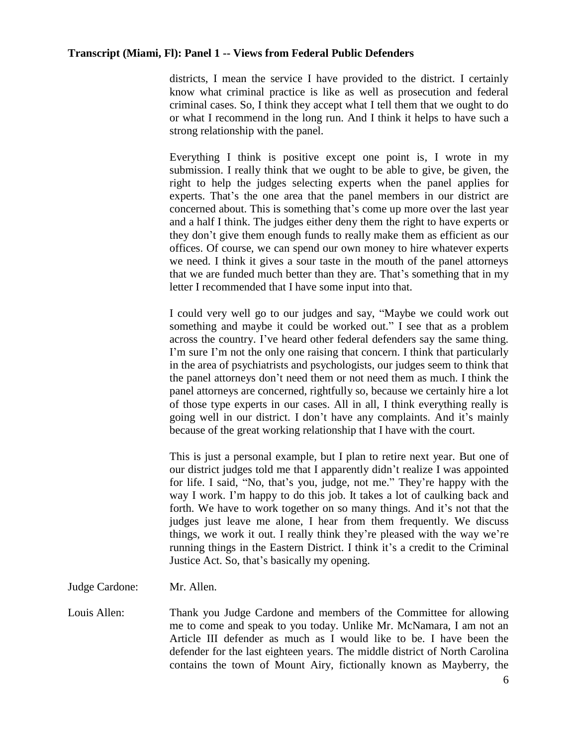districts, I mean the service I have provided to the district. I certainly know what criminal practice is like as well as prosecution and federal criminal cases. So, I think they accept what I tell them that we ought to do or what I recommend in the long run. And I think it helps to have such a strong relationship with the panel.

Everything I think is positive except one point is, I wrote in my submission. I really think that we ought to be able to give, be given, the right to help the judges selecting experts when the panel applies for experts. That's the one area that the panel members in our district are concerned about. This is something that's come up more over the last year and a half I think. The judges either deny them the right to have experts or they don't give them enough funds to really make them as efficient as our offices. Of course, we can spend our own money to hire whatever experts we need. I think it gives a sour taste in the mouth of the panel attorneys that we are funded much better than they are. That's something that in my letter I recommended that I have some input into that.

I could very well go to our judges and say, "Maybe we could work out something and maybe it could be worked out." I see that as a problem across the country. I've heard other federal defenders say the same thing. I'm sure I'm not the only one raising that concern. I think that particularly in the area of psychiatrists and psychologists, our judges seem to think that the panel attorneys don't need them or not need them as much. I think the panel attorneys are concerned, rightfully so, because we certainly hire a lot of those type experts in our cases. All in all, I think everything really is going well in our district. I don't have any complaints. And it's mainly because of the great working relationship that I have with the court.

This is just a personal example, but I plan to retire next year. But one of our district judges told me that I apparently didn't realize I was appointed for life. I said, "No, that's you, judge, not me." They're happy with the way I work. I'm happy to do this job. It takes a lot of caulking back and forth. We have to work together on so many things. And it's not that the judges just leave me alone, I hear from them frequently. We discuss things, we work it out. I really think they're pleased with the way we're running things in the Eastern District. I think it's a credit to the Criminal Justice Act. So, that's basically my opening.

Judge Cardone: Mr. Allen.

Louis Allen: Thank you Judge Cardone and members of the Committee for allowing me to come and speak to you today. Unlike Mr. McNamara, I am not an Article III defender as much as I would like to be. I have been the defender for the last eighteen years. The middle district of North Carolina contains the town of Mount Airy, fictionally known as Mayberry, the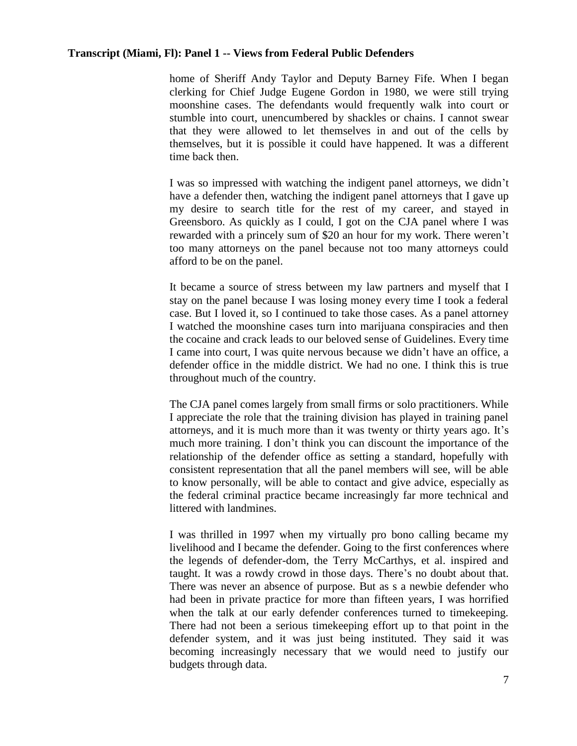home of Sheriff Andy Taylor and Deputy Barney Fife. When I began clerking for Chief Judge Eugene Gordon in 1980, we were still trying moonshine cases. The defendants would frequently walk into court or stumble into court, unencumbered by shackles or chains. I cannot swear that they were allowed to let themselves in and out of the cells by themselves, but it is possible it could have happened. It was a different time back then.

I was so impressed with watching the indigent panel attorneys, we didn't have a defender then, watching the indigent panel attorneys that I gave up my desire to search title for the rest of my career, and stayed in Greensboro. As quickly as I could, I got on the CJA panel where I was rewarded with a princely sum of \$20 an hour for my work. There weren't too many attorneys on the panel because not too many attorneys could afford to be on the panel.

It became a source of stress between my law partners and myself that I stay on the panel because I was losing money every time I took a federal case. But I loved it, so I continued to take those cases. As a panel attorney I watched the moonshine cases turn into marijuana conspiracies and then the cocaine and crack leads to our beloved sense of Guidelines. Every time I came into court, I was quite nervous because we didn't have an office, a defender office in the middle district. We had no one. I think this is true throughout much of the country.

The CJA panel comes largely from small firms or solo practitioners. While I appreciate the role that the training division has played in training panel attorneys, and it is much more than it was twenty or thirty years ago. It's much more training. I don't think you can discount the importance of the relationship of the defender office as setting a standard, hopefully with consistent representation that all the panel members will see, will be able to know personally, will be able to contact and give advice, especially as the federal criminal practice became increasingly far more technical and littered with landmines.

I was thrilled in 1997 when my virtually pro bono calling became my livelihood and I became the defender. Going to the first conferences where the legends of defender-dom, the Terry McCarthys, et al. inspired and taught. It was a rowdy crowd in those days. There's no doubt about that. There was never an absence of purpose. But as s a newbie defender who had been in private practice for more than fifteen years, I was horrified when the talk at our early defender conferences turned to timekeeping. There had not been a serious timekeeping effort up to that point in the defender system, and it was just being instituted. They said it was becoming increasingly necessary that we would need to justify our budgets through data.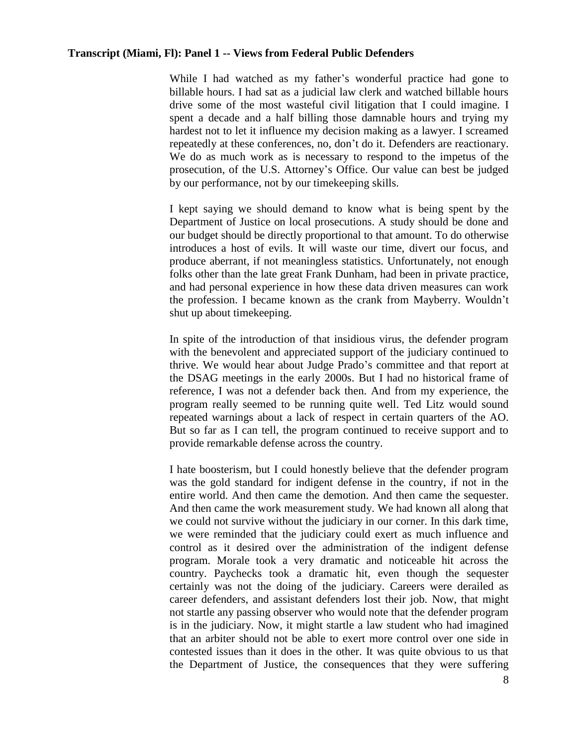While I had watched as my father's wonderful practice had gone to billable hours. I had sat as a judicial law clerk and watched billable hours drive some of the most wasteful civil litigation that I could imagine. I spent a decade and a half billing those damnable hours and trying my hardest not to let it influence my decision making as a lawyer. I screamed repeatedly at these conferences, no, don't do it. Defenders are reactionary. We do as much work as is necessary to respond to the impetus of the prosecution, of the U.S. Attorney's Office. Our value can best be judged by our performance, not by our timekeeping skills.

I kept saying we should demand to know what is being spent by the Department of Justice on local prosecutions. A study should be done and our budget should be directly proportional to that amount. To do otherwise introduces a host of evils. It will waste our time, divert our focus, and produce aberrant, if not meaningless statistics. Unfortunately, not enough folks other than the late great Frank Dunham, had been in private practice, and had personal experience in how these data driven measures can work the profession. I became known as the crank from Mayberry. Wouldn't shut up about timekeeping.

In spite of the introduction of that insidious virus, the defender program with the benevolent and appreciated support of the judiciary continued to thrive. We would hear about Judge Prado's committee and that report at the DSAG meetings in the early 2000s. But I had no historical frame of reference, I was not a defender back then. And from my experience, the program really seemed to be running quite well. Ted Litz would sound repeated warnings about a lack of respect in certain quarters of the AO. But so far as I can tell, the program continued to receive support and to provide remarkable defense across the country.

I hate boosterism, but I could honestly believe that the defender program was the gold standard for indigent defense in the country, if not in the entire world. And then came the demotion. And then came the sequester. And then came the work measurement study. We had known all along that we could not survive without the judiciary in our corner. In this dark time, we were reminded that the judiciary could exert as much influence and control as it desired over the administration of the indigent defense program. Morale took a very dramatic and noticeable hit across the country. Paychecks took a dramatic hit, even though the sequester certainly was not the doing of the judiciary. Careers were derailed as career defenders, and assistant defenders lost their job. Now, that might not startle any passing observer who would note that the defender program is in the judiciary. Now, it might startle a law student who had imagined that an arbiter should not be able to exert more control over one side in contested issues than it does in the other. It was quite obvious to us that the Department of Justice, the consequences that they were suffering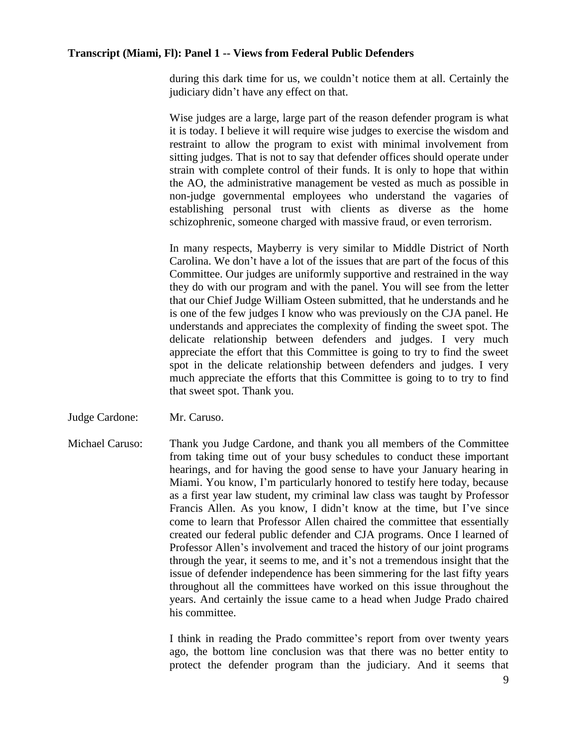during this dark time for us, we couldn't notice them at all. Certainly the judiciary didn't have any effect on that.

Wise judges are a large, large part of the reason defender program is what it is today. I believe it will require wise judges to exercise the wisdom and restraint to allow the program to exist with minimal involvement from sitting judges. That is not to say that defender offices should operate under strain with complete control of their funds. It is only to hope that within the AO, the administrative management be vested as much as possible in non-judge governmental employees who understand the vagaries of establishing personal trust with clients as diverse as the home schizophrenic, someone charged with massive fraud, or even terrorism.

In many respects, Mayberry is very similar to Middle District of North Carolina. We don't have a lot of the issues that are part of the focus of this Committee. Our judges are uniformly supportive and restrained in the way they do with our program and with the panel. You will see from the letter that our Chief Judge William Osteen submitted, that he understands and he is one of the few judges I know who was previously on the CJA panel. He understands and appreciates the complexity of finding the sweet spot. The delicate relationship between defenders and judges. I very much appreciate the effort that this Committee is going to try to find the sweet spot in the delicate relationship between defenders and judges. I very much appreciate the efforts that this Committee is going to to try to find that sweet spot. Thank you.

Judge Cardone: Mr. Caruso.

Michael Caruso: Thank you Judge Cardone, and thank you all members of the Committee from taking time out of your busy schedules to conduct these important hearings, and for having the good sense to have your January hearing in Miami. You know, I'm particularly honored to testify here today, because as a first year law student, my criminal law class was taught by Professor Francis Allen. As you know, I didn't know at the time, but I've since come to learn that Professor Allen chaired the committee that essentially created our federal public defender and CJA programs. Once I learned of Professor Allen's involvement and traced the history of our joint programs through the year, it seems to me, and it's not a tremendous insight that the issue of defender independence has been simmering for the last fifty years throughout all the committees have worked on this issue throughout the years. And certainly the issue came to a head when Judge Prado chaired his committee.

> I think in reading the Prado committee's report from over twenty years ago, the bottom line conclusion was that there was no better entity to protect the defender program than the judiciary. And it seems that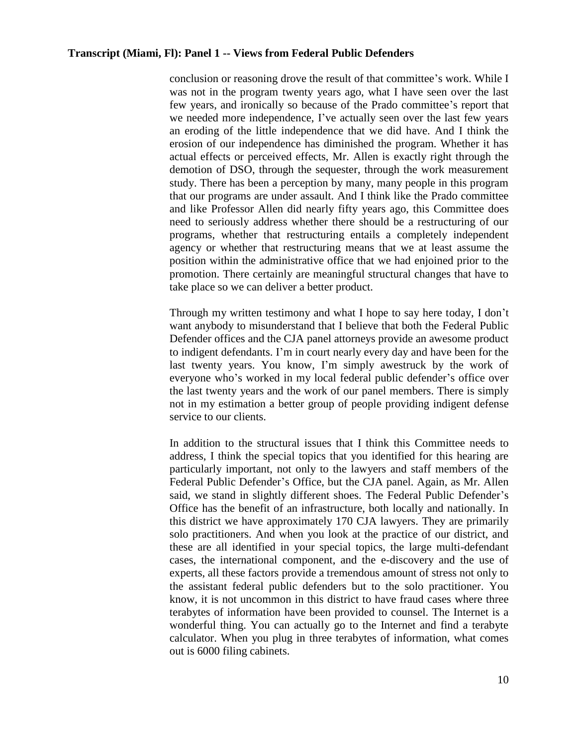conclusion or reasoning drove the result of that committee's work. While I was not in the program twenty years ago, what I have seen over the last few years, and ironically so because of the Prado committee's report that we needed more independence, I've actually seen over the last few years an eroding of the little independence that we did have. And I think the erosion of our independence has diminished the program. Whether it has actual effects or perceived effects, Mr. Allen is exactly right through the demotion of DSO, through the sequester, through the work measurement study. There has been a perception by many, many people in this program that our programs are under assault. And I think like the Prado committee and like Professor Allen did nearly fifty years ago, this Committee does need to seriously address whether there should be a restructuring of our programs, whether that restructuring entails a completely independent agency or whether that restructuring means that we at least assume the position within the administrative office that we had enjoined prior to the promotion. There certainly are meaningful structural changes that have to take place so we can deliver a better product.

Through my written testimony and what I hope to say here today, I don't want anybody to misunderstand that I believe that both the Federal Public Defender offices and the CJA panel attorneys provide an awesome product to indigent defendants. I'm in court nearly every day and have been for the last twenty years. You know, I'm simply awestruck by the work of everyone who's worked in my local federal public defender's office over the last twenty years and the work of our panel members. There is simply not in my estimation a better group of people providing indigent defense service to our clients.

In addition to the structural issues that I think this Committee needs to address, I think the special topics that you identified for this hearing are particularly important, not only to the lawyers and staff members of the Federal Public Defender's Office, but the CJA panel. Again, as Mr. Allen said, we stand in slightly different shoes. The Federal Public Defender's Office has the benefit of an infrastructure, both locally and nationally. In this district we have approximately 170 CJA lawyers. They are primarily solo practitioners. And when you look at the practice of our district, and these are all identified in your special topics, the large multi-defendant cases, the international component, and the e-discovery and the use of experts, all these factors provide a tremendous amount of stress not only to the assistant federal public defenders but to the solo practitioner. You know, it is not uncommon in this district to have fraud cases where three terabytes of information have been provided to counsel. The Internet is a wonderful thing. You can actually go to the Internet and find a terabyte calculator. When you plug in three terabytes of information, what comes out is 6000 filing cabinets.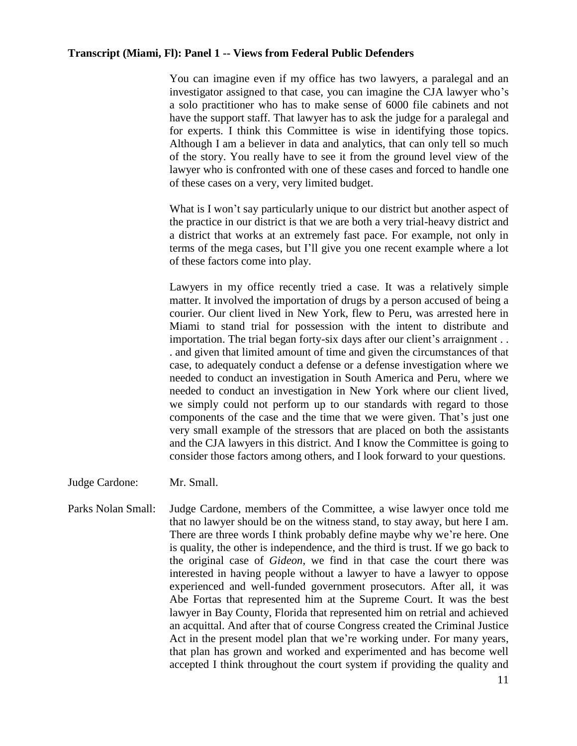You can imagine even if my office has two lawyers, a paralegal and an investigator assigned to that case, you can imagine the CJA lawyer who's a solo practitioner who has to make sense of 6000 file cabinets and not have the support staff. That lawyer has to ask the judge for a paralegal and for experts. I think this Committee is wise in identifying those topics. Although I am a believer in data and analytics, that can only tell so much of the story. You really have to see it from the ground level view of the lawyer who is confronted with one of these cases and forced to handle one of these cases on a very, very limited budget.

What is I won't say particularly unique to our district but another aspect of the practice in our district is that we are both a very trial-heavy district and a district that works at an extremely fast pace. For example, not only in terms of the mega cases, but I'll give you one recent example where a lot of these factors come into play.

Lawyers in my office recently tried a case. It was a relatively simple matter. It involved the importation of drugs by a person accused of being a courier. Our client lived in New York, flew to Peru, was arrested here in Miami to stand trial for possession with the intent to distribute and importation. The trial began forty-six days after our client's arraignment . . . and given that limited amount of time and given the circumstances of that case, to adequately conduct a defense or a defense investigation where we needed to conduct an investigation in South America and Peru, where we needed to conduct an investigation in New York where our client lived, we simply could not perform up to our standards with regard to those components of the case and the time that we were given. That's just one very small example of the stressors that are placed on both the assistants and the CJA lawyers in this district. And I know the Committee is going to consider those factors among others, and I look forward to your questions.

- Judge Cardone: Mr. Small.
- Parks Nolan Small: Judge Cardone, members of the Committee, a wise lawyer once told me that no lawyer should be on the witness stand, to stay away, but here I am. There are three words I think probably define maybe why we're here. One is quality, the other is independence, and the third is trust. If we go back to the original case of *Gideon*, we find in that case the court there was interested in having people without a lawyer to have a lawyer to oppose experienced and well-funded government prosecutors. After all, it was Abe Fortas that represented him at the Supreme Court. It was the best lawyer in Bay County, Florida that represented him on retrial and achieved an acquittal. And after that of course Congress created the Criminal Justice Act in the present model plan that we're working under. For many years, that plan has grown and worked and experimented and has become well accepted I think throughout the court system if providing the quality and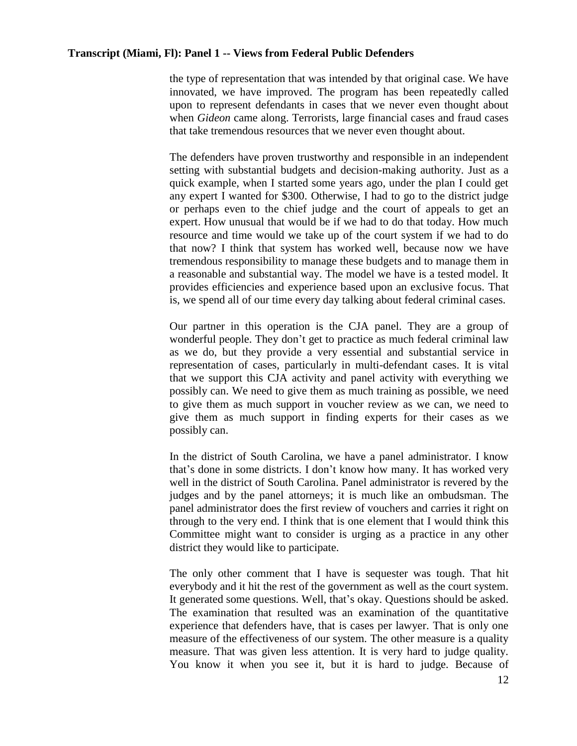the type of representation that was intended by that original case. We have innovated, we have improved. The program has been repeatedly called upon to represent defendants in cases that we never even thought about when *Gideon* came along. Terrorists, large financial cases and fraud cases that take tremendous resources that we never even thought about.

The defenders have proven trustworthy and responsible in an independent setting with substantial budgets and decision-making authority. Just as a quick example, when I started some years ago, under the plan I could get any expert I wanted for \$300. Otherwise, I had to go to the district judge or perhaps even to the chief judge and the court of appeals to get an expert. How unusual that would be if we had to do that today. How much resource and time would we take up of the court system if we had to do that now? I think that system has worked well, because now we have tremendous responsibility to manage these budgets and to manage them in a reasonable and substantial way. The model we have is a tested model. It provides efficiencies and experience based upon an exclusive focus. That is, we spend all of our time every day talking about federal criminal cases.

Our partner in this operation is the CJA panel. They are a group of wonderful people. They don't get to practice as much federal criminal law as we do, but they provide a very essential and substantial service in representation of cases, particularly in multi-defendant cases. It is vital that we support this CJA activity and panel activity with everything we possibly can. We need to give them as much training as possible, we need to give them as much support in voucher review as we can, we need to give them as much support in finding experts for their cases as we possibly can.

In the district of South Carolina, we have a panel administrator. I know that's done in some districts. I don't know how many. It has worked very well in the district of South Carolina. Panel administrator is revered by the judges and by the panel attorneys; it is much like an ombudsman. The panel administrator does the first review of vouchers and carries it right on through to the very end. I think that is one element that I would think this Committee might want to consider is urging as a practice in any other district they would like to participate.

The only other comment that I have is sequester was tough. That hit everybody and it hit the rest of the government as well as the court system. It generated some questions. Well, that's okay. Questions should be asked. The examination that resulted was an examination of the quantitative experience that defenders have, that is cases per lawyer. That is only one measure of the effectiveness of our system. The other measure is a quality measure. That was given less attention. It is very hard to judge quality. You know it when you see it, but it is hard to judge. Because of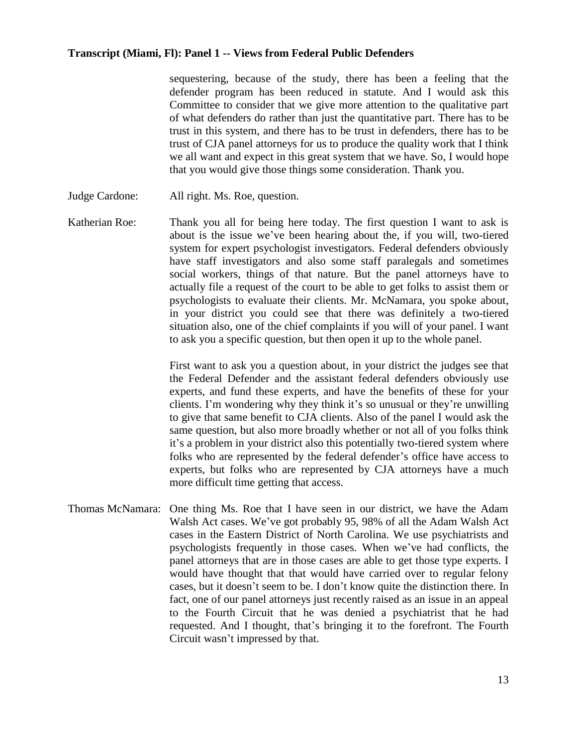sequestering, because of the study, there has been a feeling that the defender program has been reduced in statute. And I would ask this Committee to consider that we give more attention to the qualitative part of what defenders do rather than just the quantitative part. There has to be trust in this system, and there has to be trust in defenders, there has to be trust of CJA panel attorneys for us to produce the quality work that I think we all want and expect in this great system that we have. So, I would hope that you would give those things some consideration. Thank you.

- Judge Cardone: All right. Ms. Roe, question.
- Katherian Roe: Thank you all for being here today. The first question I want to ask is about is the issue we've been hearing about the, if you will, two-tiered system for expert psychologist investigators. Federal defenders obviously have staff investigators and also some staff paralegals and sometimes social workers, things of that nature. But the panel attorneys have to actually file a request of the court to be able to get folks to assist them or psychologists to evaluate their clients. Mr. McNamara, you spoke about, in your district you could see that there was definitely a two-tiered situation also, one of the chief complaints if you will of your panel. I want to ask you a specific question, but then open it up to the whole panel.

First want to ask you a question about, in your district the judges see that the Federal Defender and the assistant federal defenders obviously use experts, and fund these experts, and have the benefits of these for your clients. I'm wondering why they think it's so unusual or they're unwilling to give that same benefit to CJA clients. Also of the panel I would ask the same question, but also more broadly whether or not all of you folks think it's a problem in your district also this potentially two-tiered system where folks who are represented by the federal defender's office have access to experts, but folks who are represented by CJA attorneys have a much more difficult time getting that access.

Thomas McNamara: One thing Ms. Roe that I have seen in our district, we have the Adam Walsh Act cases. We've got probably 95, 98% of all the Adam Walsh Act cases in the Eastern District of North Carolina. We use psychiatrists and psychologists frequently in those cases. When we've had conflicts, the panel attorneys that are in those cases are able to get those type experts. I would have thought that that would have carried over to regular felony cases, but it doesn't seem to be. I don't know quite the distinction there. In fact, one of our panel attorneys just recently raised as an issue in an appeal to the Fourth Circuit that he was denied a psychiatrist that he had requested. And I thought, that's bringing it to the forefront. The Fourth Circuit wasn't impressed by that.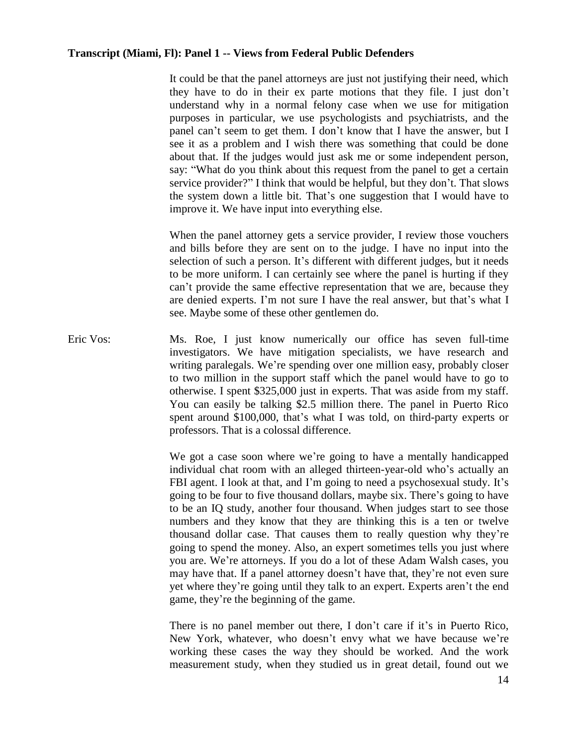It could be that the panel attorneys are just not justifying their need, which they have to do in their ex parte motions that they file. I just don't understand why in a normal felony case when we use for mitigation purposes in particular, we use psychologists and psychiatrists, and the panel can't seem to get them. I don't know that I have the answer, but I see it as a problem and I wish there was something that could be done about that. If the judges would just ask me or some independent person, say: "What do you think about this request from the panel to get a certain service provider?" I think that would be helpful, but they don't. That slows the system down a little bit. That's one suggestion that I would have to improve it. We have input into everything else.

When the panel attorney gets a service provider, I review those vouchers and bills before they are sent on to the judge. I have no input into the selection of such a person. It's different with different judges, but it needs to be more uniform. I can certainly see where the panel is hurting if they can't provide the same effective representation that we are, because they are denied experts. I'm not sure I have the real answer, but that's what I see. Maybe some of these other gentlemen do.

Eric Vos: Ms. Roe, I just know numerically our office has seven full-time investigators. We have mitigation specialists, we have research and writing paralegals. We're spending over one million easy, probably closer to two million in the support staff which the panel would have to go to otherwise. I spent \$325,000 just in experts. That was aside from my staff. You can easily be talking \$2.5 million there. The panel in Puerto Rico spent around \$100,000, that's what I was told, on third-party experts or professors. That is a colossal difference.

> We got a case soon where we're going to have a mentally handicapped individual chat room with an alleged thirteen-year-old who's actually an FBI agent. I look at that, and I'm going to need a psychosexual study. It's going to be four to five thousand dollars, maybe six. There's going to have to be an IQ study, another four thousand. When judges start to see those numbers and they know that they are thinking this is a ten or twelve thousand dollar case. That causes them to really question why they're going to spend the money. Also, an expert sometimes tells you just where you are. We're attorneys. If you do a lot of these Adam Walsh cases, you may have that. If a panel attorney doesn't have that, they're not even sure yet where they're going until they talk to an expert. Experts aren't the end game, they're the beginning of the game.

> There is no panel member out there, I don't care if it's in Puerto Rico, New York, whatever, who doesn't envy what we have because we're working these cases the way they should be worked. And the work measurement study, when they studied us in great detail, found out we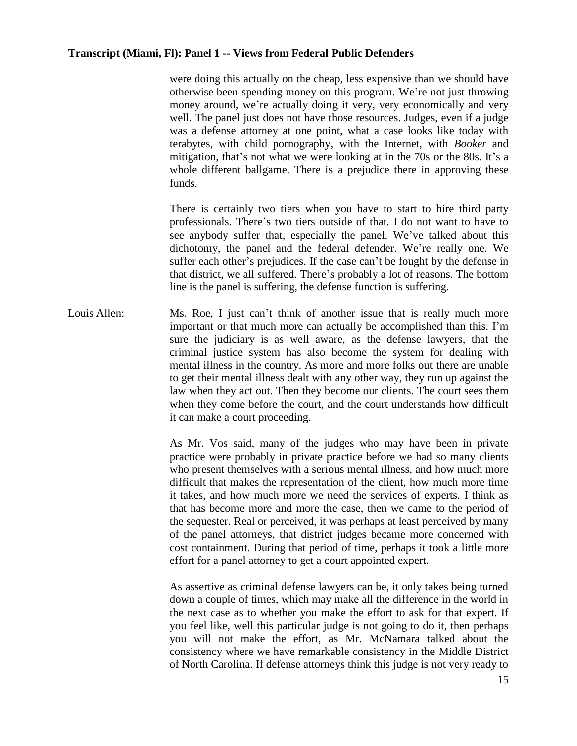were doing this actually on the cheap, less expensive than we should have otherwise been spending money on this program. We're not just throwing money around, we're actually doing it very, very economically and very well. The panel just does not have those resources. Judges, even if a judge was a defense attorney at one point, what a case looks like today with terabytes, with child pornography, with the Internet, with *Booker* and mitigation, that's not what we were looking at in the 70s or the 80s. It's a whole different ballgame. There is a prejudice there in approving these funds.

There is certainly two tiers when you have to start to hire third party professionals. There's two tiers outside of that. I do not want to have to see anybody suffer that, especially the panel. We've talked about this dichotomy, the panel and the federal defender. We're really one. We suffer each other's prejudices. If the case can't be fought by the defense in that district, we all suffered. There's probably a lot of reasons. The bottom line is the panel is suffering, the defense function is suffering.

Louis Allen: Ms. Roe, I just can't think of another issue that is really much more important or that much more can actually be accomplished than this. I'm sure the judiciary is as well aware, as the defense lawyers, that the criminal justice system has also become the system for dealing with mental illness in the country. As more and more folks out there are unable to get their mental illness dealt with any other way, they run up against the law when they act out. Then they become our clients. The court sees them when they come before the court, and the court understands how difficult it can make a court proceeding.

> As Mr. Vos said, many of the judges who may have been in private practice were probably in private practice before we had so many clients who present themselves with a serious mental illness, and how much more difficult that makes the representation of the client, how much more time it takes, and how much more we need the services of experts. I think as that has become more and more the case, then we came to the period of the sequester. Real or perceived, it was perhaps at least perceived by many of the panel attorneys, that district judges became more concerned with cost containment. During that period of time, perhaps it took a little more effort for a panel attorney to get a court appointed expert.

> As assertive as criminal defense lawyers can be, it only takes being turned down a couple of times, which may make all the difference in the world in the next case as to whether you make the effort to ask for that expert. If you feel like, well this particular judge is not going to do it, then perhaps you will not make the effort, as Mr. McNamara talked about the consistency where we have remarkable consistency in the Middle District of North Carolina. If defense attorneys think this judge is not very ready to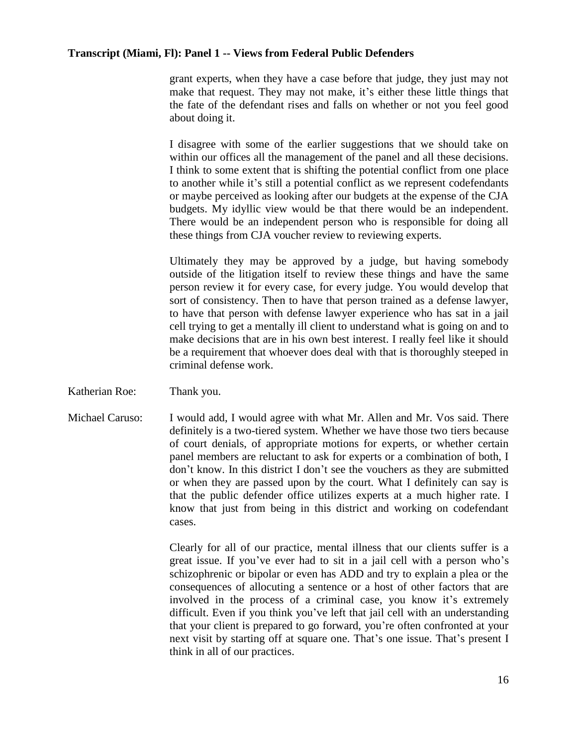grant experts, when they have a case before that judge, they just may not make that request. They may not make, it's either these little things that the fate of the defendant rises and falls on whether or not you feel good about doing it.

I disagree with some of the earlier suggestions that we should take on within our offices all the management of the panel and all these decisions. I think to some extent that is shifting the potential conflict from one place to another while it's still a potential conflict as we represent codefendants or maybe perceived as looking after our budgets at the expense of the CJA budgets. My idyllic view would be that there would be an independent. There would be an independent person who is responsible for doing all these things from CJA voucher review to reviewing experts.

Ultimately they may be approved by a judge, but having somebody outside of the litigation itself to review these things and have the same person review it for every case, for every judge. You would develop that sort of consistency. Then to have that person trained as a defense lawyer, to have that person with defense lawyer experience who has sat in a jail cell trying to get a mentally ill client to understand what is going on and to make decisions that are in his own best interest. I really feel like it should be a requirement that whoever does deal with that is thoroughly steeped in criminal defense work.

- Katherian Roe: Thank you.
- Michael Caruso: I would add, I would agree with what Mr. Allen and Mr. Vos said. There definitely is a two-tiered system. Whether we have those two tiers because of court denials, of appropriate motions for experts, or whether certain panel members are reluctant to ask for experts or a combination of both, I don't know. In this district I don't see the vouchers as they are submitted or when they are passed upon by the court. What I definitely can say is that the public defender office utilizes experts at a much higher rate. I know that just from being in this district and working on codefendant cases.

Clearly for all of our practice, mental illness that our clients suffer is a great issue. If you've ever had to sit in a jail cell with a person who's schizophrenic or bipolar or even has ADD and try to explain a plea or the consequences of allocuting a sentence or a host of other factors that are involved in the process of a criminal case, you know it's extremely difficult. Even if you think you've left that jail cell with an understanding that your client is prepared to go forward, you're often confronted at your next visit by starting off at square one. That's one issue. That's present I think in all of our practices.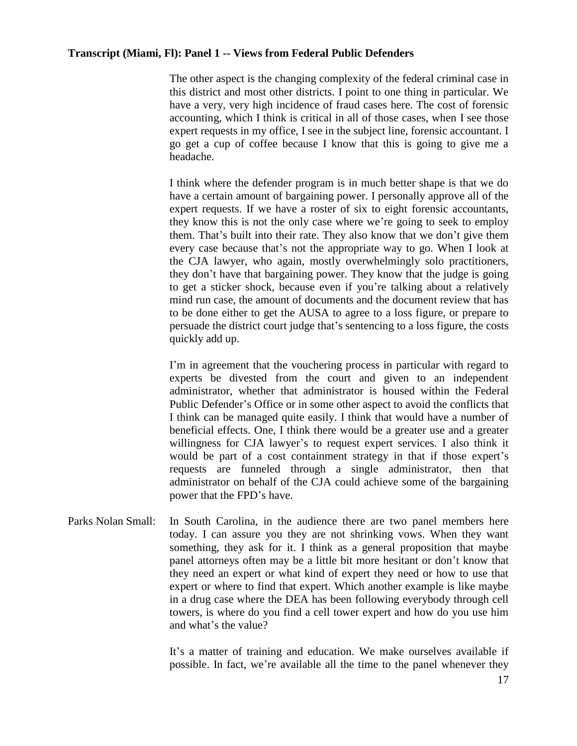The other aspect is the changing complexity of the federal criminal case in this district and most other districts. I point to one thing in particular. We have a very, very high incidence of fraud cases here. The cost of forensic accounting, which I think is critical in all of those cases, when I see those expert requests in my office, I see in the subject line, forensic accountant. I go get a cup of coffee because I know that this is going to give me a headache.

I think where the defender program is in much better shape is that we do have a certain amount of bargaining power. I personally approve all of the expert requests. If we have a roster of six to eight forensic accountants, they know this is not the only case where we're going to seek to employ them. That's built into their rate. They also know that we don't give them every case because that's not the appropriate way to go. When I look at the CJA lawyer, who again, mostly overwhelmingly solo practitioners, they don't have that bargaining power. They know that the judge is going to get a sticker shock, because even if you're talking about a relatively mind run case, the amount of documents and the document review that has to be done either to get the AUSA to agree to a loss figure, or prepare to persuade the district court judge that's sentencing to a loss figure, the costs quickly add up.

I'm in agreement that the vouchering process in particular with regard to experts be divested from the court and given to an independent administrator, whether that administrator is housed within the Federal Public Defender's Office or in some other aspect to avoid the conflicts that I think can be managed quite easily. I think that would have a number of beneficial effects. One, I think there would be a greater use and a greater willingness for CJA lawyer's to request expert services. I also think it would be part of a cost containment strategy in that if those expert's requests are funneled through a single administrator, then that administrator on behalf of the CJA could achieve some of the bargaining power that the FPD's have.

Parks Nolan Small: In South Carolina, in the audience there are two panel members here today. I can assure you they are not shrinking vows. When they want something, they ask for it. I think as a general proposition that maybe panel attorneys often may be a little bit more hesitant or don't know that they need an expert or what kind of expert they need or how to use that expert or where to find that expert. Which another example is like maybe in a drug case where the DEA has been following everybody through cell towers, is where do you find a cell tower expert and how do you use him and what's the value?

> It's a matter of training and education. We make ourselves available if possible. In fact, we're available all the time to the panel whenever they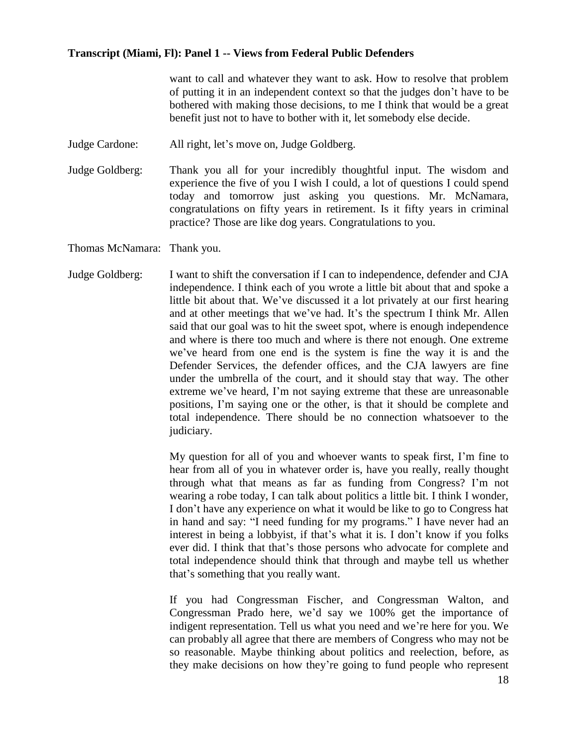want to call and whatever they want to ask. How to resolve that problem of putting it in an independent context so that the judges don't have to be bothered with making those decisions, to me I think that would be a great benefit just not to have to bother with it, let somebody else decide.

- Judge Cardone: All right, let's move on, Judge Goldberg.
- Judge Goldberg: Thank you all for your incredibly thoughtful input. The wisdom and experience the five of you I wish I could, a lot of questions I could spend today and tomorrow just asking you questions. Mr. McNamara, congratulations on fifty years in retirement. Is it fifty years in criminal practice? Those are like dog years. Congratulations to you.

Thomas McNamara: Thank you.

Judge Goldberg: I want to shift the conversation if I can to independence, defender and CJA independence. I think each of you wrote a little bit about that and spoke a little bit about that. We've discussed it a lot privately at our first hearing and at other meetings that we've had. It's the spectrum I think Mr. Allen said that our goal was to hit the sweet spot, where is enough independence and where is there too much and where is there not enough. One extreme we've heard from one end is the system is fine the way it is and the Defender Services, the defender offices, and the CJA lawyers are fine under the umbrella of the court, and it should stay that way. The other extreme we've heard, I'm not saying extreme that these are unreasonable positions, I'm saying one or the other, is that it should be complete and total independence. There should be no connection whatsoever to the judiciary.

> My question for all of you and whoever wants to speak first, I'm fine to hear from all of you in whatever order is, have you really, really thought through what that means as far as funding from Congress? I'm not wearing a robe today, I can talk about politics a little bit. I think I wonder, I don't have any experience on what it would be like to go to Congress hat in hand and say: "I need funding for my programs." I have never had an interest in being a lobbyist, if that's what it is. I don't know if you folks ever did. I think that that's those persons who advocate for complete and total independence should think that through and maybe tell us whether that's something that you really want.

> If you had Congressman Fischer, and Congressman Walton, and Congressman Prado here, we'd say we 100% get the importance of indigent representation. Tell us what you need and we're here for you. We can probably all agree that there are members of Congress who may not be so reasonable. Maybe thinking about politics and reelection, before, as they make decisions on how they're going to fund people who represent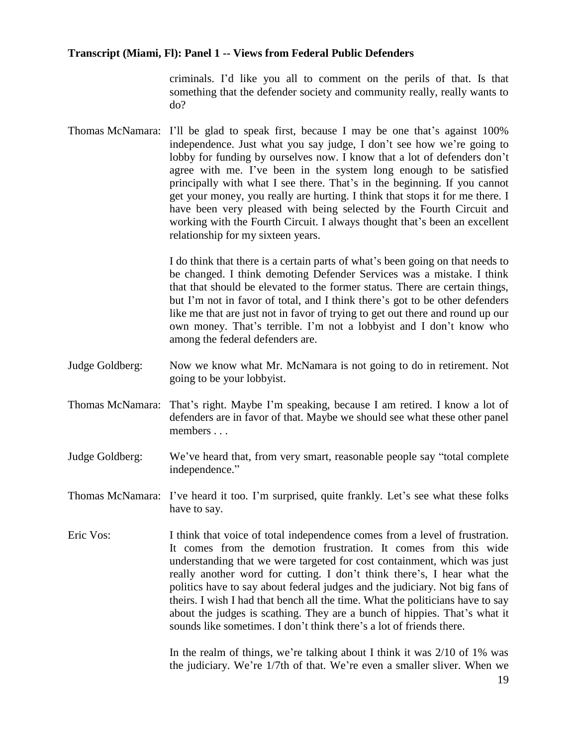criminals. I'd like you all to comment on the perils of that. Is that something that the defender society and community really, really wants to do?

Thomas McNamara: I'll be glad to speak first, because I may be one that's against 100% independence. Just what you say judge, I don't see how we're going to lobby for funding by ourselves now. I know that a lot of defenders don't agree with me. I've been in the system long enough to be satisfied principally with what I see there. That's in the beginning. If you cannot get your money, you really are hurting. I think that stops it for me there. I have been very pleased with being selected by the Fourth Circuit and working with the Fourth Circuit. I always thought that's been an excellent relationship for my sixteen years.

> I do think that there is a certain parts of what's been going on that needs to be changed. I think demoting Defender Services was a mistake. I think that that should be elevated to the former status. There are certain things, but I'm not in favor of total, and I think there's got to be other defenders like me that are just not in favor of trying to get out there and round up our own money. That's terrible. I'm not a lobbyist and I don't know who among the federal defenders are.

- Judge Goldberg: Now we know what Mr. McNamara is not going to do in retirement. Not going to be your lobbyist.
- Thomas McNamara: That's right. Maybe I'm speaking, because I am retired. I know a lot of defenders are in favor of that. Maybe we should see what these other panel members . . .
- Judge Goldberg: We've heard that, from very smart, reasonable people say "total complete independence."
- Thomas McNamara: I've heard it too. I'm surprised, quite frankly. Let's see what these folks have to say.
- Eric Vos: I think that voice of total independence comes from a level of frustration. It comes from the demotion frustration. It comes from this wide understanding that we were targeted for cost containment, which was just really another word for cutting. I don't think there's, I hear what the politics have to say about federal judges and the judiciary. Not big fans of theirs. I wish I had that bench all the time. What the politicians have to say about the judges is scathing. They are a bunch of hippies. That's what it sounds like sometimes. I don't think there's a lot of friends there.

In the realm of things, we're talking about I think it was 2/10 of 1% was the judiciary. We're 1/7th of that. We're even a smaller sliver. When we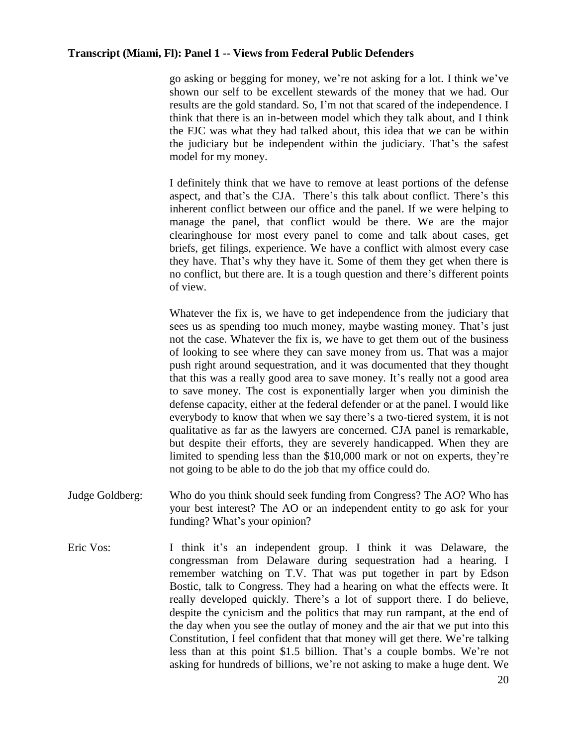go asking or begging for money, we're not asking for a lot. I think we've shown our self to be excellent stewards of the money that we had. Our results are the gold standard. So, I'm not that scared of the independence. I think that there is an in-between model which they talk about, and I think the FJC was what they had talked about, this idea that we can be within the judiciary but be independent within the judiciary. That's the safest model for my money.

I definitely think that we have to remove at least portions of the defense aspect, and that's the CJA. There's this talk about conflict. There's this inherent conflict between our office and the panel. If we were helping to manage the panel, that conflict would be there. We are the major clearinghouse for most every panel to come and talk about cases, get briefs, get filings, experience. We have a conflict with almost every case they have. That's why they have it. Some of them they get when there is no conflict, but there are. It is a tough question and there's different points of view.

Whatever the fix is, we have to get independence from the judiciary that sees us as spending too much money, maybe wasting money. That's just not the case. Whatever the fix is, we have to get them out of the business of looking to see where they can save money from us. That was a major push right around sequestration, and it was documented that they thought that this was a really good area to save money. It's really not a good area to save money. The cost is exponentially larger when you diminish the defense capacity, either at the federal defender or at the panel. I would like everybody to know that when we say there's a two-tiered system, it is not qualitative as far as the lawyers are concerned. CJA panel is remarkable, but despite their efforts, they are severely handicapped. When they are limited to spending less than the \$10,000 mark or not on experts, they're not going to be able to do the job that my office could do.

- Judge Goldberg: Who do you think should seek funding from Congress? The AO? Who has your best interest? The AO or an independent entity to go ask for your funding? What's your opinion?
- Eric Vos: I think it's an independent group. I think it was Delaware, the congressman from Delaware during sequestration had a hearing. I remember watching on T.V. That was put together in part by Edson Bostic, talk to Congress. They had a hearing on what the effects were. It really developed quickly. There's a lot of support there. I do believe, despite the cynicism and the politics that may run rampant, at the end of the day when you see the outlay of money and the air that we put into this Constitution, I feel confident that that money will get there. We're talking less than at this point \$1.5 billion. That's a couple bombs. We're not asking for hundreds of billions, we're not asking to make a huge dent. We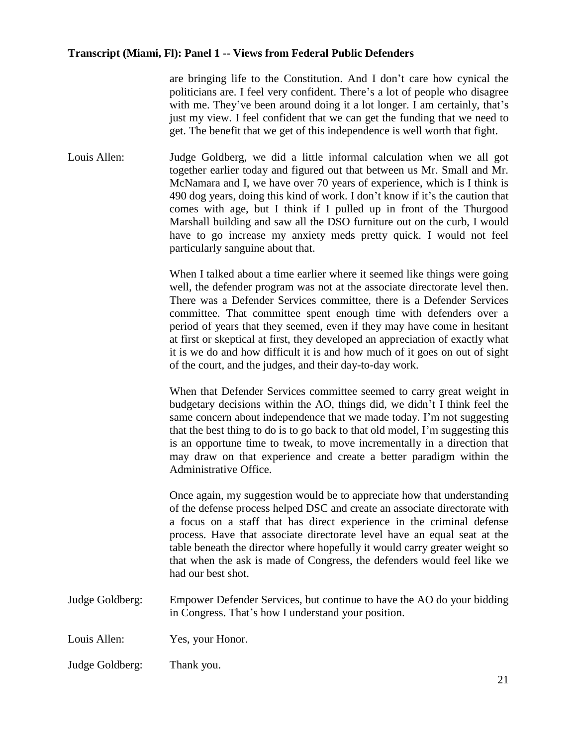are bringing life to the Constitution. And I don't care how cynical the politicians are. I feel very confident. There's a lot of people who disagree with me. They've been around doing it a lot longer. I am certainly, that's just my view. I feel confident that we can get the funding that we need to get. The benefit that we get of this independence is well worth that fight.

Louis Allen: Judge Goldberg, we did a little informal calculation when we all got together earlier today and figured out that between us Mr. Small and Mr. McNamara and I, we have over 70 years of experience, which is I think is 490 dog years, doing this kind of work. I don't know if it's the caution that comes with age, but I think if I pulled up in front of the Thurgood Marshall building and saw all the DSO furniture out on the curb, I would have to go increase my anxiety meds pretty quick. I would not feel particularly sanguine about that.

> When I talked about a time earlier where it seemed like things were going well, the defender program was not at the associate directorate level then. There was a Defender Services committee, there is a Defender Services committee. That committee spent enough time with defenders over a period of years that they seemed, even if they may have come in hesitant at first or skeptical at first, they developed an appreciation of exactly what it is we do and how difficult it is and how much of it goes on out of sight of the court, and the judges, and their day-to-day work.

> When that Defender Services committee seemed to carry great weight in budgetary decisions within the AO, things did, we didn't I think feel the same concern about independence that we made today. I'm not suggesting that the best thing to do is to go back to that old model, I'm suggesting this is an opportune time to tweak, to move incrementally in a direction that may draw on that experience and create a better paradigm within the Administrative Office.

> Once again, my suggestion would be to appreciate how that understanding of the defense process helped DSC and create an associate directorate with a focus on a staff that has direct experience in the criminal defense process. Have that associate directorate level have an equal seat at the table beneath the director where hopefully it would carry greater weight so that when the ask is made of Congress, the defenders would feel like we had our best shot.

Judge Goldberg: Empower Defender Services, but continue to have the AO do your bidding in Congress. That's how I understand your position.

Louis Allen: Yes, your Honor.

Judge Goldberg: Thank you.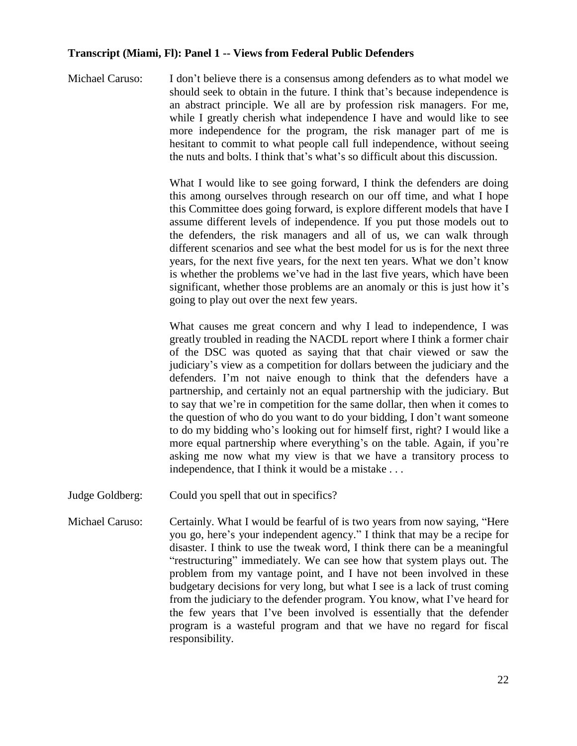Michael Caruso: I don't believe there is a consensus among defenders as to what model we should seek to obtain in the future. I think that's because independence is an abstract principle. We all are by profession risk managers. For me, while I greatly cherish what independence I have and would like to see more independence for the program, the risk manager part of me is hesitant to commit to what people call full independence, without seeing the nuts and bolts. I think that's what's so difficult about this discussion.

> What I would like to see going forward, I think the defenders are doing this among ourselves through research on our off time, and what I hope this Committee does going forward, is explore different models that have I assume different levels of independence. If you put those models out to the defenders, the risk managers and all of us, we can walk through different scenarios and see what the best model for us is for the next three years, for the next five years, for the next ten years. What we don't know is whether the problems we've had in the last five years, which have been significant, whether those problems are an anomaly or this is just how it's going to play out over the next few years.

> What causes me great concern and why I lead to independence, I was greatly troubled in reading the NACDL report where I think a former chair of the DSC was quoted as saying that that chair viewed or saw the judiciary's view as a competition for dollars between the judiciary and the defenders. I'm not naive enough to think that the defenders have a partnership, and certainly not an equal partnership with the judiciary. But to say that we're in competition for the same dollar, then when it comes to the question of who do you want to do your bidding, I don't want someone to do my bidding who's looking out for himself first, right? I would like a more equal partnership where everything's on the table. Again, if you're asking me now what my view is that we have a transitory process to independence, that I think it would be a mistake . . .

- Judge Goldberg: Could you spell that out in specifics?
- Michael Caruso: Certainly. What I would be fearful of is two years from now saying, "Here you go, here's your independent agency." I think that may be a recipe for disaster. I think to use the tweak word, I think there can be a meaningful "restructuring" immediately. We can see how that system plays out. The problem from my vantage point, and I have not been involved in these budgetary decisions for very long, but what I see is a lack of trust coming from the judiciary to the defender program. You know, what I've heard for the few years that I've been involved is essentially that the defender program is a wasteful program and that we have no regard for fiscal responsibility.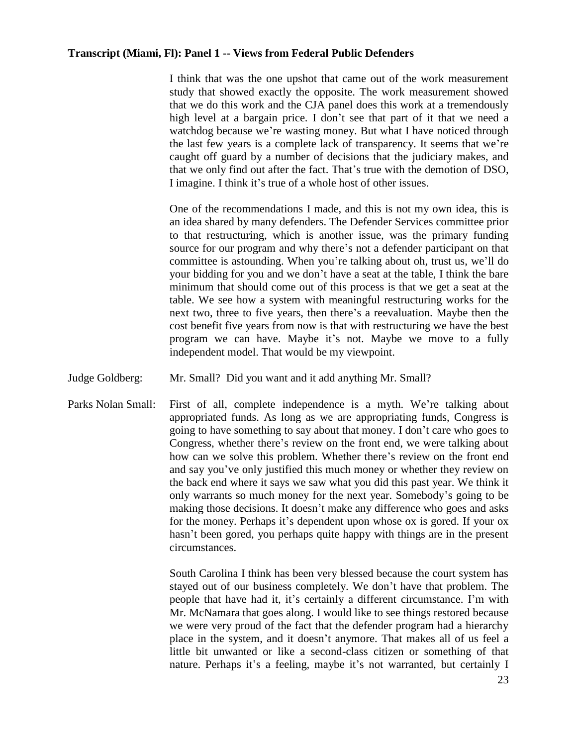I think that was the one upshot that came out of the work measurement study that showed exactly the opposite. The work measurement showed that we do this work and the CJA panel does this work at a tremendously high level at a bargain price. I don't see that part of it that we need a watchdog because we're wasting money. But what I have noticed through the last few years is a complete lack of transparency. It seems that we're caught off guard by a number of decisions that the judiciary makes, and that we only find out after the fact. That's true with the demotion of DSO, I imagine. I think it's true of a whole host of other issues.

One of the recommendations I made, and this is not my own idea, this is an idea shared by many defenders. The Defender Services committee prior to that restructuring, which is another issue, was the primary funding source for our program and why there's not a defender participant on that committee is astounding. When you're talking about oh, trust us, we'll do your bidding for you and we don't have a seat at the table, I think the bare minimum that should come out of this process is that we get a seat at the table. We see how a system with meaningful restructuring works for the next two, three to five years, then there's a reevaluation. Maybe then the cost benefit five years from now is that with restructuring we have the best program we can have. Maybe it's not. Maybe we move to a fully independent model. That would be my viewpoint.

- Judge Goldberg: Mr. Small? Did you want and it add anything Mr. Small?
- Parks Nolan Small: First of all, complete independence is a myth. We're talking about appropriated funds. As long as we are appropriating funds, Congress is going to have something to say about that money. I don't care who goes to Congress, whether there's review on the front end, we were talking about how can we solve this problem. Whether there's review on the front end and say you've only justified this much money or whether they review on the back end where it says we saw what you did this past year. We think it only warrants so much money for the next year. Somebody's going to be making those decisions. It doesn't make any difference who goes and asks for the money. Perhaps it's dependent upon whose ox is gored. If your ox hasn't been gored, you perhaps quite happy with things are in the present circumstances.

South Carolina I think has been very blessed because the court system has stayed out of our business completely. We don't have that problem. The people that have had it, it's certainly a different circumstance. I'm with Mr. McNamara that goes along. I would like to see things restored because we were very proud of the fact that the defender program had a hierarchy place in the system, and it doesn't anymore. That makes all of us feel a little bit unwanted or like a second-class citizen or something of that nature. Perhaps it's a feeling, maybe it's not warranted, but certainly I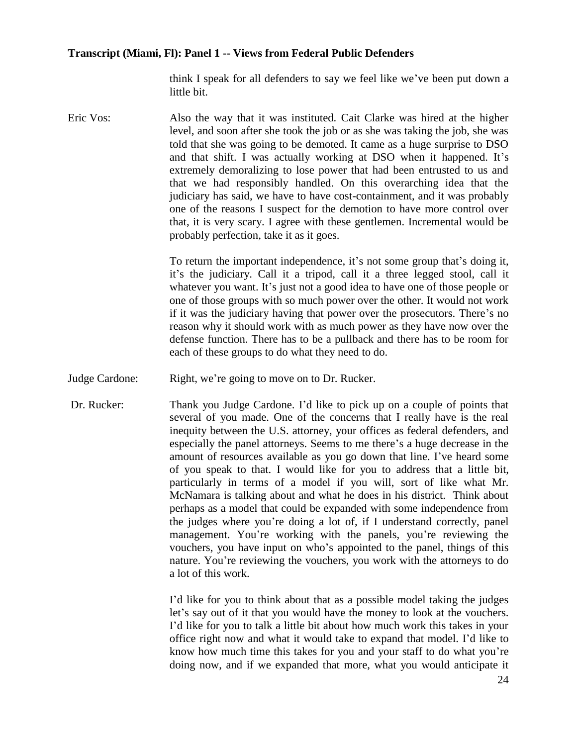think I speak for all defenders to say we feel like we've been put down a little bit.

Eric Vos: Also the way that it was instituted. Cait Clarke was hired at the higher level, and soon after she took the job or as she was taking the job, she was told that she was going to be demoted. It came as a huge surprise to DSO and that shift. I was actually working at DSO when it happened. It's extremely demoralizing to lose power that had been entrusted to us and that we had responsibly handled. On this overarching idea that the judiciary has said, we have to have cost-containment, and it was probably one of the reasons I suspect for the demotion to have more control over that, it is very scary. I agree with these gentlemen. Incremental would be probably perfection, take it as it goes.

> To return the important independence, it's not some group that's doing it, it's the judiciary. Call it a tripod, call it a three legged stool, call it whatever you want. It's just not a good idea to have one of those people or one of those groups with so much power over the other. It would not work if it was the judiciary having that power over the prosecutors. There's no reason why it should work with as much power as they have now over the defense function. There has to be a pullback and there has to be room for each of these groups to do what they need to do.

- Judge Cardone: Right, we're going to move on to Dr. Rucker.
- Dr. Rucker: Thank you Judge Cardone. I'd like to pick up on a couple of points that several of you made. One of the concerns that I really have is the real inequity between the U.S. attorney, your offices as federal defenders, and especially the panel attorneys. Seems to me there's a huge decrease in the amount of resources available as you go down that line. I've heard some of you speak to that. I would like for you to address that a little bit, particularly in terms of a model if you will, sort of like what Mr. McNamara is talking about and what he does in his district. Think about perhaps as a model that could be expanded with some independence from the judges where you're doing a lot of, if I understand correctly, panel management. You're working with the panels, you're reviewing the vouchers, you have input on who's appointed to the panel, things of this nature. You're reviewing the vouchers, you work with the attorneys to do a lot of this work.

I'd like for you to think about that as a possible model taking the judges let's say out of it that you would have the money to look at the vouchers. I'd like for you to talk a little bit about how much work this takes in your office right now and what it would take to expand that model. I'd like to know how much time this takes for you and your staff to do what you're doing now, and if we expanded that more, what you would anticipate it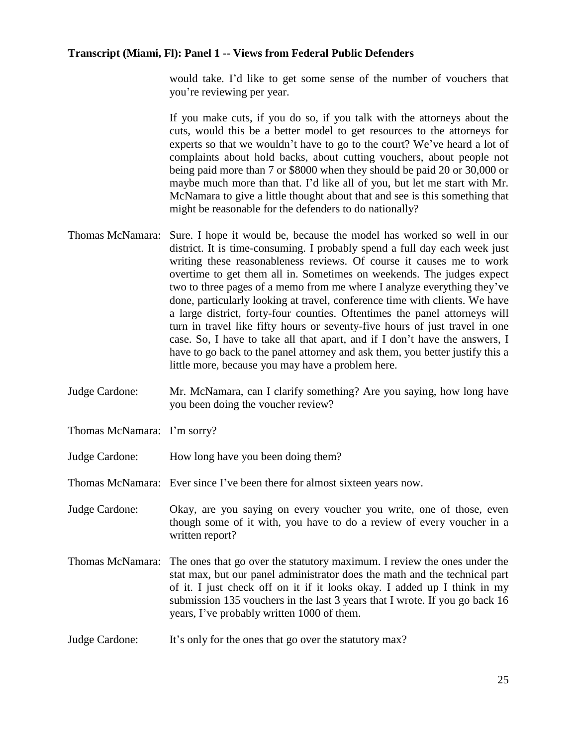would take. I'd like to get some sense of the number of vouchers that you're reviewing per year.

If you make cuts, if you do so, if you talk with the attorneys about the cuts, would this be a better model to get resources to the attorneys for experts so that we wouldn't have to go to the court? We've heard a lot of complaints about hold backs, about cutting vouchers, about people not being paid more than 7 or \$8000 when they should be paid 20 or 30,000 or maybe much more than that. I'd like all of you, but let me start with Mr. McNamara to give a little thought about that and see is this something that might be reasonable for the defenders to do nationally?

- Thomas McNamara: Sure. I hope it would be, because the model has worked so well in our district. It is time-consuming. I probably spend a full day each week just writing these reasonableness reviews. Of course it causes me to work overtime to get them all in. Sometimes on weekends. The judges expect two to three pages of a memo from me where I analyze everything they've done, particularly looking at travel, conference time with clients. We have a large district, forty-four counties. Oftentimes the panel attorneys will turn in travel like fifty hours or seventy-five hours of just travel in one case. So, I have to take all that apart, and if I don't have the answers, I have to go back to the panel attorney and ask them, you better justify this a little more, because you may have a problem here.
- Judge Cardone: Mr. McNamara, can I clarify something? Are you saying, how long have you been doing the voucher review?
- Thomas McNamara: I'm sorry?
- Judge Cardone: How long have you been doing them?

Thomas McNamara: Ever since I've been there for almost sixteen years now.

- Judge Cardone: Okay, are you saying on every voucher you write, one of those, even though some of it with, you have to do a review of every voucher in a written report?
- Thomas McNamara: The ones that go over the statutory maximum. I review the ones under the stat max, but our panel administrator does the math and the technical part of it. I just check off on it if it looks okay. I added up I think in my submission 135 vouchers in the last 3 years that I wrote. If you go back 16 years, I've probably written 1000 of them.
- Judge Cardone: It's only for the ones that go over the statutory max?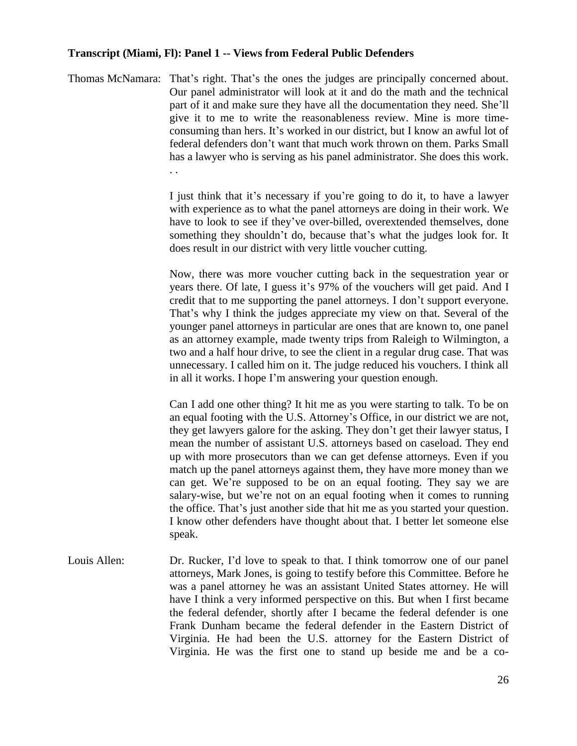Thomas McNamara: That's right. That's the ones the judges are principally concerned about. Our panel administrator will look at it and do the math and the technical part of it and make sure they have all the documentation they need. She'll give it to me to write the reasonableness review. Mine is more timeconsuming than hers. It's worked in our district, but I know an awful lot of federal defenders don't want that much work thrown on them. Parks Small has a lawyer who is serving as his panel administrator. She does this work. . .

> I just think that it's necessary if you're going to do it, to have a lawyer with experience as to what the panel attorneys are doing in their work. We have to look to see if they've over-billed, overextended themselves, done something they shouldn't do, because that's what the judges look for. It does result in our district with very little voucher cutting.

> Now, there was more voucher cutting back in the sequestration year or years there. Of late, I guess it's 97% of the vouchers will get paid. And I credit that to me supporting the panel attorneys. I don't support everyone. That's why I think the judges appreciate my view on that. Several of the younger panel attorneys in particular are ones that are known to, one panel as an attorney example, made twenty trips from Raleigh to Wilmington, a two and a half hour drive, to see the client in a regular drug case. That was unnecessary. I called him on it. The judge reduced his vouchers. I think all in all it works. I hope I'm answering your question enough.

> Can I add one other thing? It hit me as you were starting to talk. To be on an equal footing with the U.S. Attorney's Office, in our district we are not, they get lawyers galore for the asking. They don't get their lawyer status, I mean the number of assistant U.S. attorneys based on caseload. They end up with more prosecutors than we can get defense attorneys. Even if you match up the panel attorneys against them, they have more money than we can get. We're supposed to be on an equal footing. They say we are salary-wise, but we're not on an equal footing when it comes to running the office. That's just another side that hit me as you started your question. I know other defenders have thought about that. I better let someone else speak.

Louis Allen: Dr. Rucker, I'd love to speak to that. I think tomorrow one of our panel attorneys, Mark Jones, is going to testify before this Committee. Before he was a panel attorney he was an assistant United States attorney. He will have I think a very informed perspective on this. But when I first became the federal defender, shortly after I became the federal defender is one Frank Dunham became the federal defender in the Eastern District of Virginia. He had been the U.S. attorney for the Eastern District of Virginia. He was the first one to stand up beside me and be a co-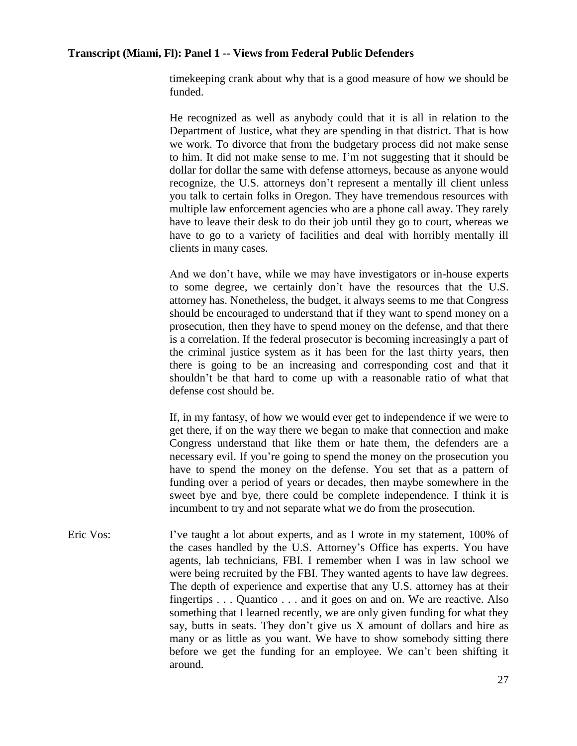timekeeping crank about why that is a good measure of how we should be funded.

He recognized as well as anybody could that it is all in relation to the Department of Justice, what they are spending in that district. That is how we work. To divorce that from the budgetary process did not make sense to him. It did not make sense to me. I'm not suggesting that it should be dollar for dollar the same with defense attorneys, because as anyone would recognize, the U.S. attorneys don't represent a mentally ill client unless you talk to certain folks in Oregon. They have tremendous resources with multiple law enforcement agencies who are a phone call away. They rarely have to leave their desk to do their job until they go to court, whereas we have to go to a variety of facilities and deal with horribly mentally ill clients in many cases.

And we don't have, while we may have investigators or in-house experts to some degree, we certainly don't have the resources that the U.S. attorney has. Nonetheless, the budget, it always seems to me that Congress should be encouraged to understand that if they want to spend money on a prosecution, then they have to spend money on the defense, and that there is a correlation. If the federal prosecutor is becoming increasingly a part of the criminal justice system as it has been for the last thirty years, then there is going to be an increasing and corresponding cost and that it shouldn't be that hard to come up with a reasonable ratio of what that defense cost should be.

If, in my fantasy, of how we would ever get to independence if we were to get there, if on the way there we began to make that connection and make Congress understand that like them or hate them, the defenders are a necessary evil. If you're going to spend the money on the prosecution you have to spend the money on the defense. You set that as a pattern of funding over a period of years or decades, then maybe somewhere in the sweet bye and bye, there could be complete independence. I think it is incumbent to try and not separate what we do from the prosecution.

Eric Vos: I've taught a lot about experts, and as I wrote in my statement, 100% of the cases handled by the U.S. Attorney's Office has experts. You have agents, lab technicians, FBI. I remember when I was in law school we were being recruited by the FBI. They wanted agents to have law degrees. The depth of experience and expertise that any U.S. attorney has at their fingertips . . . Quantico . . . and it goes on and on. We are reactive. Also something that I learned recently, we are only given funding for what they say, butts in seats. They don't give us X amount of dollars and hire as many or as little as you want. We have to show somebody sitting there before we get the funding for an employee. We can't been shifting it around.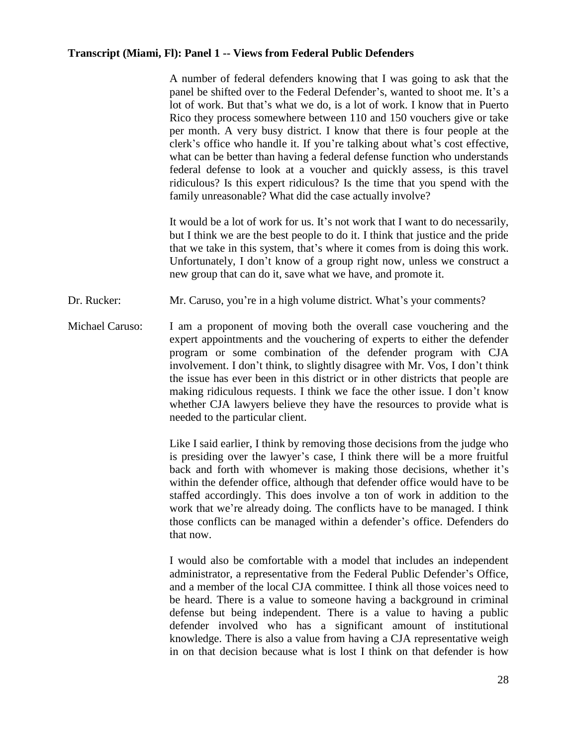A number of federal defenders knowing that I was going to ask that the panel be shifted over to the Federal Defender's, wanted to shoot me. It's a lot of work. But that's what we do, is a lot of work. I know that in Puerto Rico they process somewhere between 110 and 150 vouchers give or take per month. A very busy district. I know that there is four people at the clerk's office who handle it. If you're talking about what's cost effective, what can be better than having a federal defense function who understands federal defense to look at a voucher and quickly assess, is this travel ridiculous? Is this expert ridiculous? Is the time that you spend with the family unreasonable? What did the case actually involve?

It would be a lot of work for us. It's not work that I want to do necessarily, but I think we are the best people to do it. I think that justice and the pride that we take in this system, that's where it comes from is doing this work. Unfortunately, I don't know of a group right now, unless we construct a new group that can do it, save what we have, and promote it.

- Dr. Rucker: Mr. Caruso, you're in a high volume district. What's your comments?
- Michael Caruso: I am a proponent of moving both the overall case vouchering and the expert appointments and the vouchering of experts to either the defender program or some combination of the defender program with CJA involvement. I don't think, to slightly disagree with Mr. Vos, I don't think the issue has ever been in this district or in other districts that people are making ridiculous requests. I think we face the other issue. I don't know whether CJA lawyers believe they have the resources to provide what is needed to the particular client.

Like I said earlier, I think by removing those decisions from the judge who is presiding over the lawyer's case, I think there will be a more fruitful back and forth with whomever is making those decisions, whether it's within the defender office, although that defender office would have to be staffed accordingly. This does involve a ton of work in addition to the work that we're already doing. The conflicts have to be managed. I think those conflicts can be managed within a defender's office. Defenders do that now.

I would also be comfortable with a model that includes an independent administrator, a representative from the Federal Public Defender's Office, and a member of the local CJA committee. I think all those voices need to be heard. There is a value to someone having a background in criminal defense but being independent. There is a value to having a public defender involved who has a significant amount of institutional knowledge. There is also a value from having a CJA representative weigh in on that decision because what is lost I think on that defender is how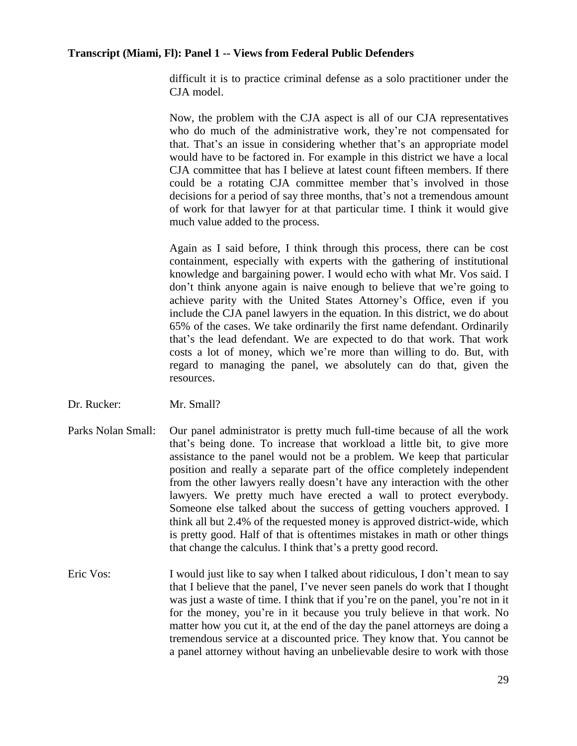difficult it is to practice criminal defense as a solo practitioner under the CJA model.

Now, the problem with the CJA aspect is all of our CJA representatives who do much of the administrative work, they're not compensated for that. That's an issue in considering whether that's an appropriate model would have to be factored in. For example in this district we have a local CJA committee that has I believe at latest count fifteen members. If there could be a rotating CJA committee member that's involved in those decisions for a period of say three months, that's not a tremendous amount of work for that lawyer for at that particular time. I think it would give much value added to the process.

Again as I said before, I think through this process, there can be cost containment, especially with experts with the gathering of institutional knowledge and bargaining power. I would echo with what Mr. Vos said. I don't think anyone again is naive enough to believe that we're going to achieve parity with the United States Attorney's Office, even if you include the CJA panel lawyers in the equation. In this district, we do about 65% of the cases. We take ordinarily the first name defendant. Ordinarily that's the lead defendant. We are expected to do that work. That work costs a lot of money, which we're more than willing to do. But, with regard to managing the panel, we absolutely can do that, given the resources.

- Dr. Rucker: Mr. Small?
- Parks Nolan Small: Our panel administrator is pretty much full-time because of all the work that's being done. To increase that workload a little bit, to give more assistance to the panel would not be a problem. We keep that particular position and really a separate part of the office completely independent from the other lawyers really doesn't have any interaction with the other lawyers. We pretty much have erected a wall to protect everybody. Someone else talked about the success of getting vouchers approved. I think all but 2.4% of the requested money is approved district-wide, which is pretty good. Half of that is oftentimes mistakes in math or other things that change the calculus. I think that's a pretty good record.
- Eric Vos: I would just like to say when I talked about ridiculous, I don't mean to say that I believe that the panel, I've never seen panels do work that I thought was just a waste of time. I think that if you're on the panel, you're not in it for the money, you're in it because you truly believe in that work. No matter how you cut it, at the end of the day the panel attorneys are doing a tremendous service at a discounted price. They know that. You cannot be a panel attorney without having an unbelievable desire to work with those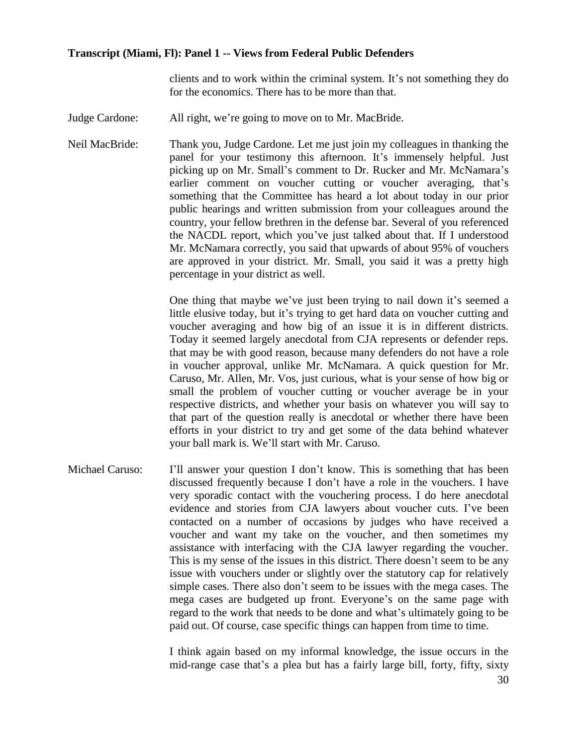clients and to work within the criminal system. It's not something they do for the economics. There has to be more than that.

Judge Cardone: All right, we're going to move on to Mr. MacBride.

Neil MacBride: Thank you, Judge Cardone. Let me just join my colleagues in thanking the panel for your testimony this afternoon. It's immensely helpful. Just picking up on Mr. Small's comment to Dr. Rucker and Mr. McNamara's earlier comment on voucher cutting or voucher averaging, that's something that the Committee has heard a lot about today in our prior public hearings and written submission from your colleagues around the country, your fellow brethren in the defense bar. Several of you referenced the NACDL report, which you've just talked about that. If I understood Mr. McNamara correctly, you said that upwards of about 95% of vouchers are approved in your district. Mr. Small, you said it was a pretty high percentage in your district as well.

> One thing that maybe we've just been trying to nail down it's seemed a little elusive today, but it's trying to get hard data on voucher cutting and voucher averaging and how big of an issue it is in different districts. Today it seemed largely anecdotal from CJA represents or defender reps. that may be with good reason, because many defenders do not have a role in voucher approval, unlike Mr. McNamara. A quick question for Mr. Caruso, Mr. Allen, Mr. Vos, just curious, what is your sense of how big or small the problem of voucher cutting or voucher average be in your respective districts, and whether your basis on whatever you will say to that part of the question really is anecdotal or whether there have been efforts in your district to try and get some of the data behind whatever your ball mark is. We'll start with Mr. Caruso.

Michael Caruso: I'll answer your question I don't know. This is something that has been discussed frequently because I don't have a role in the vouchers. I have very sporadic contact with the vouchering process. I do here anecdotal evidence and stories from CJA lawyers about voucher cuts. I've been contacted on a number of occasions by judges who have received a voucher and want my take on the voucher, and then sometimes my assistance with interfacing with the CJA lawyer regarding the voucher. This is my sense of the issues in this district. There doesn't seem to be any issue with vouchers under or slightly over the statutory cap for relatively simple cases. There also don't seem to be issues with the mega cases. The mega cases are budgeted up front. Everyone's on the same page with regard to the work that needs to be done and what's ultimately going to be paid out. Of course, case specific things can happen from time to time.

> I think again based on my informal knowledge, the issue occurs in the mid-range case that's a plea but has a fairly large bill, forty, fifty, sixty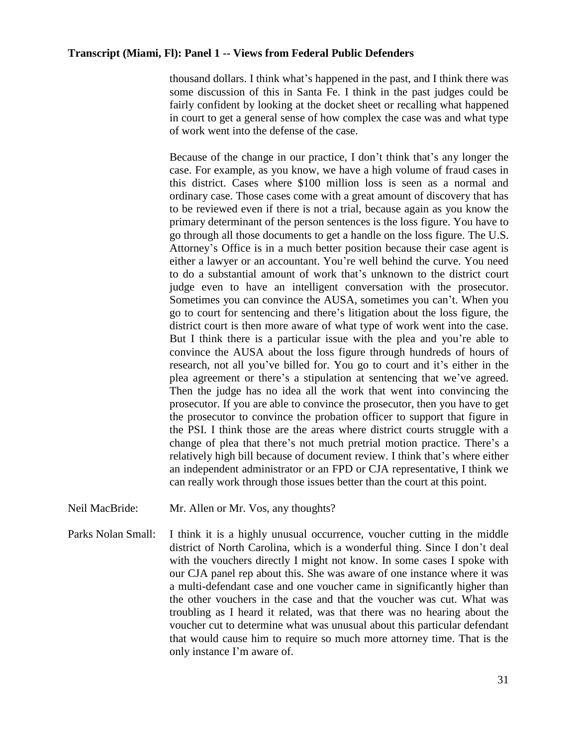thousand dollars. I think what's happened in the past, and I think there was some discussion of this in Santa Fe. I think in the past judges could be fairly confident by looking at the docket sheet or recalling what happened in court to get a general sense of how complex the case was and what type of work went into the defense of the case.

Because of the change in our practice, I don't think that's any longer the case. For example, as you know, we have a high volume of fraud cases in this district. Cases where \$100 million loss is seen as a normal and ordinary case. Those cases come with a great amount of discovery that has to be reviewed even if there is not a trial, because again as you know the primary determinant of the person sentences is the loss figure. You have to go through all those documents to get a handle on the loss figure. The U.S. Attorney's Office is in a much better position because their case agent is either a lawyer or an accountant. You're well behind the curve. You need to do a substantial amount of work that's unknown to the district court judge even to have an intelligent conversation with the prosecutor. Sometimes you can convince the AUSA, sometimes you can't. When you go to court for sentencing and there's litigation about the loss figure, the district court is then more aware of what type of work went into the case. But I think there is a particular issue with the plea and you're able to convince the AUSA about the loss figure through hundreds of hours of research, not all you've billed for. You go to court and it's either in the plea agreement or there's a stipulation at sentencing that we've agreed. Then the judge has no idea all the work that went into convincing the prosecutor. If you are able to convince the prosecutor, then you have to get the prosecutor to convince the probation officer to support that figure in the PSI. I think those are the areas where district courts struggle with a change of plea that there's not much pretrial motion practice. There's a relatively high bill because of document review. I think that's where either an independent administrator or an FPD or CJA representative, I think we can really work through those issues better than the court at this point.

- Neil MacBride: Mr. Allen or Mr. Vos, any thoughts?
- Parks Nolan Small: I think it is a highly unusual occurrence, voucher cutting in the middle district of North Carolina, which is a wonderful thing. Since I don't deal with the vouchers directly I might not know. In some cases I spoke with our CJA panel rep about this. She was aware of one instance where it was a multi-defendant case and one voucher came in significantly higher than the other vouchers in the case and that the voucher was cut. What was troubling as I heard it related, was that there was no hearing about the voucher cut to determine what was unusual about this particular defendant that would cause him to require so much more attorney time. That is the only instance I'm aware of.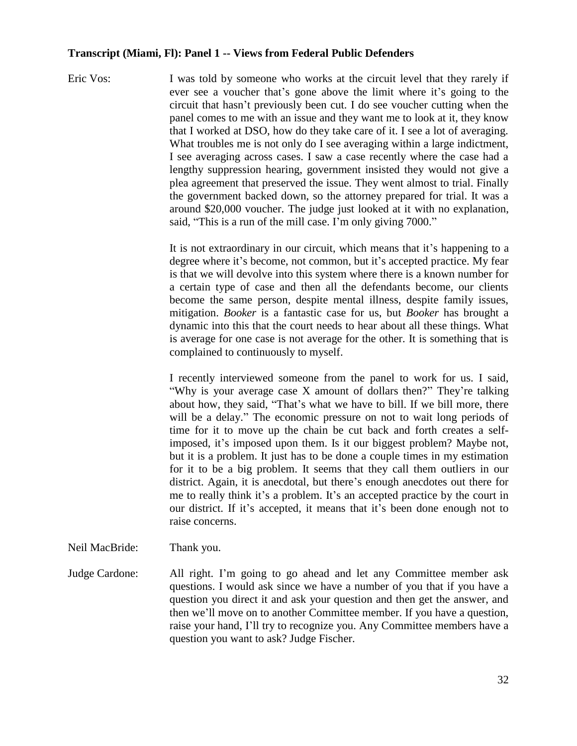Eric Vos: I was told by someone who works at the circuit level that they rarely if ever see a voucher that's gone above the limit where it's going to the circuit that hasn't previously been cut. I do see voucher cutting when the panel comes to me with an issue and they want me to look at it, they know that I worked at DSO, how do they take care of it. I see a lot of averaging. What troubles me is not only do I see averaging within a large indictment, I see averaging across cases. I saw a case recently where the case had a lengthy suppression hearing, government insisted they would not give a plea agreement that preserved the issue. They went almost to trial. Finally the government backed down, so the attorney prepared for trial. It was a around \$20,000 voucher. The judge just looked at it with no explanation, said, "This is a run of the mill case. I'm only giving 7000."

> It is not extraordinary in our circuit, which means that it's happening to a degree where it's become, not common, but it's accepted practice. My fear is that we will devolve into this system where there is a known number for a certain type of case and then all the defendants become, our clients become the same person, despite mental illness, despite family issues, mitigation. *Booker* is a fantastic case for us, but *Booker* has brought a dynamic into this that the court needs to hear about all these things. What is average for one case is not average for the other. It is something that is complained to continuously to myself.

> I recently interviewed someone from the panel to work for us. I said, "Why is your average case X amount of dollars then?" They're talking about how, they said, "That's what we have to bill. If we bill more, there will be a delay." The economic pressure on not to wait long periods of time for it to move up the chain be cut back and forth creates a selfimposed, it's imposed upon them. Is it our biggest problem? Maybe not, but it is a problem. It just has to be done a couple times in my estimation for it to be a big problem. It seems that they call them outliers in our district. Again, it is anecdotal, but there's enough anecdotes out there for me to really think it's a problem. It's an accepted practice by the court in our district. If it's accepted, it means that it's been done enough not to raise concerns.

Neil MacBride: Thank you.

Judge Cardone: All right. I'm going to go ahead and let any Committee member ask questions. I would ask since we have a number of you that if you have a question you direct it and ask your question and then get the answer, and then we'll move on to another Committee member. If you have a question, raise your hand, I'll try to recognize you. Any Committee members have a question you want to ask? Judge Fischer.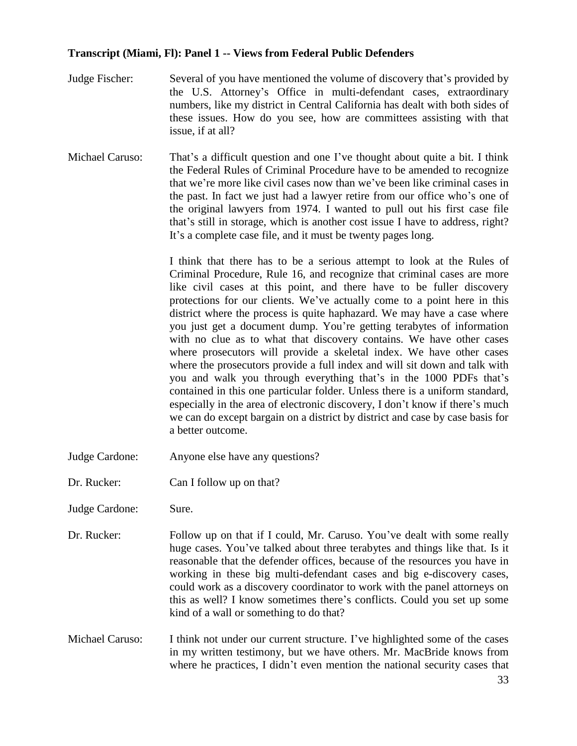- Judge Fischer: Several of you have mentioned the volume of discovery that's provided by the U.S. Attorney's Office in multi-defendant cases, extraordinary numbers, like my district in Central California has dealt with both sides of these issues. How do you see, how are committees assisting with that issue, if at all?
- Michael Caruso: That's a difficult question and one I've thought about quite a bit. I think the Federal Rules of Criminal Procedure have to be amended to recognize that we're more like civil cases now than we've been like criminal cases in the past. In fact we just had a lawyer retire from our office who's one of the original lawyers from 1974. I wanted to pull out his first case file that's still in storage, which is another cost issue I have to address, right? It's a complete case file, and it must be twenty pages long.

I think that there has to be a serious attempt to look at the Rules of Criminal Procedure, Rule 16, and recognize that criminal cases are more like civil cases at this point, and there have to be fuller discovery protections for our clients. We've actually come to a point here in this district where the process is quite haphazard. We may have a case where you just get a document dump. You're getting terabytes of information with no clue as to what that discovery contains. We have other cases where prosecutors will provide a skeletal index. We have other cases where the prosecutors provide a full index and will sit down and talk with you and walk you through everything that's in the 1000 PDFs that's contained in this one particular folder. Unless there is a uniform standard, especially in the area of electronic discovery, I don't know if there's much we can do except bargain on a district by district and case by case basis for a better outcome.

- Judge Cardone: Anyone else have any questions?
- Dr. Rucker: Can I follow up on that?
- Judge Cardone: Sure.
- Dr. Rucker: Follow up on that if I could, Mr. Caruso. You've dealt with some really huge cases. You've talked about three terabytes and things like that. Is it reasonable that the defender offices, because of the resources you have in working in these big multi-defendant cases and big e-discovery cases, could work as a discovery coordinator to work with the panel attorneys on this as well? I know sometimes there's conflicts. Could you set up some kind of a wall or something to do that?
- Michael Caruso: I think not under our current structure. I've highlighted some of the cases in my written testimony, but we have others. Mr. MacBride knows from where he practices, I didn't even mention the national security cases that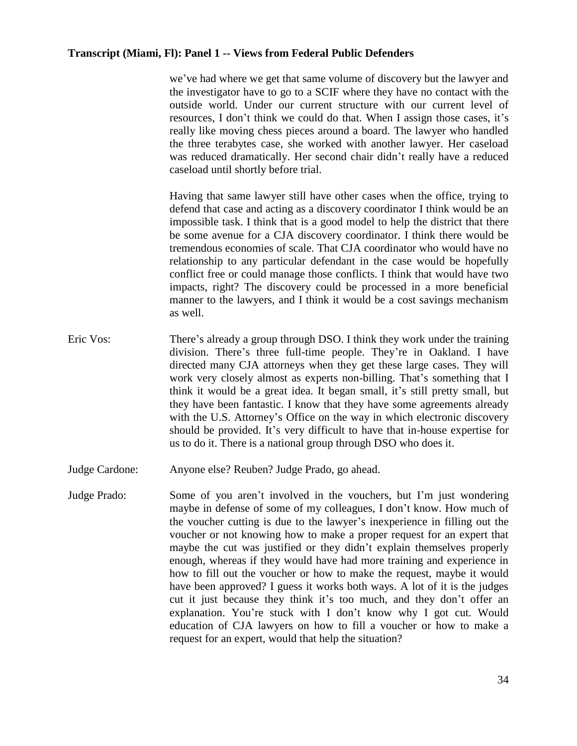we've had where we get that same volume of discovery but the lawyer and the investigator have to go to a SCIF where they have no contact with the outside world. Under our current structure with our current level of resources, I don't think we could do that. When I assign those cases, it's really like moving chess pieces around a board. The lawyer who handled the three terabytes case, she worked with another lawyer. Her caseload was reduced dramatically. Her second chair didn't really have a reduced caseload until shortly before trial.

Having that same lawyer still have other cases when the office, trying to defend that case and acting as a discovery coordinator I think would be an impossible task. I think that is a good model to help the district that there be some avenue for a CJA discovery coordinator. I think there would be tremendous economies of scale. That CJA coordinator who would have no relationship to any particular defendant in the case would be hopefully conflict free or could manage those conflicts. I think that would have two impacts, right? The discovery could be processed in a more beneficial manner to the lawyers, and I think it would be a cost savings mechanism as well.

- Eric Vos: There's already a group through DSO. I think they work under the training division. There's three full-time people. They're in Oakland. I have directed many CJA attorneys when they get these large cases. They will work very closely almost as experts non-billing. That's something that I think it would be a great idea. It began small, it's still pretty small, but they have been fantastic. I know that they have some agreements already with the U.S. Attorney's Office on the way in which electronic discovery should be provided. It's very difficult to have that in-house expertise for us to do it. There is a national group through DSO who does it.
- Judge Cardone: Anyone else? Reuben? Judge Prado, go ahead.
- Judge Prado: Some of you aren't involved in the vouchers, but I'm just wondering maybe in defense of some of my colleagues, I don't know. How much of the voucher cutting is due to the lawyer's inexperience in filling out the voucher or not knowing how to make a proper request for an expert that maybe the cut was justified or they didn't explain themselves properly enough, whereas if they would have had more training and experience in how to fill out the voucher or how to make the request, maybe it would have been approved? I guess it works both ways. A lot of it is the judges cut it just because they think it's too much, and they don't offer an explanation. You're stuck with I don't know why I got cut. Would education of CJA lawyers on how to fill a voucher or how to make a request for an expert, would that help the situation?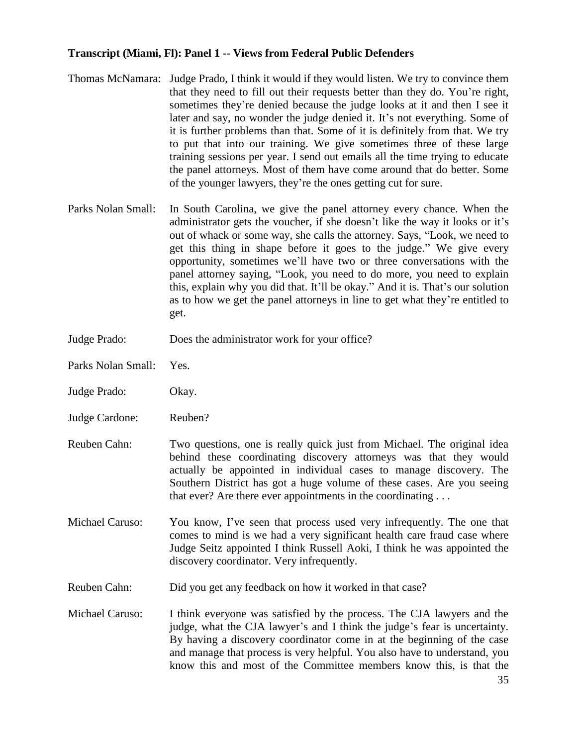- Thomas McNamara: Judge Prado, I think it would if they would listen. We try to convince them that they need to fill out their requests better than they do. You're right, sometimes they're denied because the judge looks at it and then I see it later and say, no wonder the judge denied it. It's not everything. Some of it is further problems than that. Some of it is definitely from that. We try to put that into our training. We give sometimes three of these large training sessions per year. I send out emails all the time trying to educate the panel attorneys. Most of them have come around that do better. Some of the younger lawyers, they're the ones getting cut for sure.
- Parks Nolan Small: In South Carolina, we give the panel attorney every chance. When the administrator gets the voucher, if she doesn't like the way it looks or it's out of whack or some way, she calls the attorney. Says, "Look, we need to get this thing in shape before it goes to the judge." We give every opportunity, sometimes we'll have two or three conversations with the panel attorney saying, "Look, you need to do more, you need to explain this, explain why you did that. It'll be okay." And it is. That's our solution as to how we get the panel attorneys in line to get what they're entitled to get.
- Judge Prado: Does the administrator work for your office?
- Parks Nolan Small: Yes.
- Judge Prado: Okay.
- Judge Cardone: Reuben?
- Reuben Cahn: Two questions, one is really quick just from Michael. The original idea behind these coordinating discovery attorneys was that they would actually be appointed in individual cases to manage discovery. The Southern District has got a huge volume of these cases. Are you seeing that ever? Are there ever appointments in the coordinating . . .
- Michael Caruso: You know, I've seen that process used very infrequently. The one that comes to mind is we had a very significant health care fraud case where Judge Seitz appointed I think Russell Aoki, I think he was appointed the discovery coordinator. Very infrequently.
- Reuben Cahn: Did you get any feedback on how it worked in that case?
- Michael Caruso: I think everyone was satisfied by the process. The CJA lawyers and the judge, what the CJA lawyer's and I think the judge's fear is uncertainty. By having a discovery coordinator come in at the beginning of the case and manage that process is very helpful. You also have to understand, you know this and most of the Committee members know this, is that the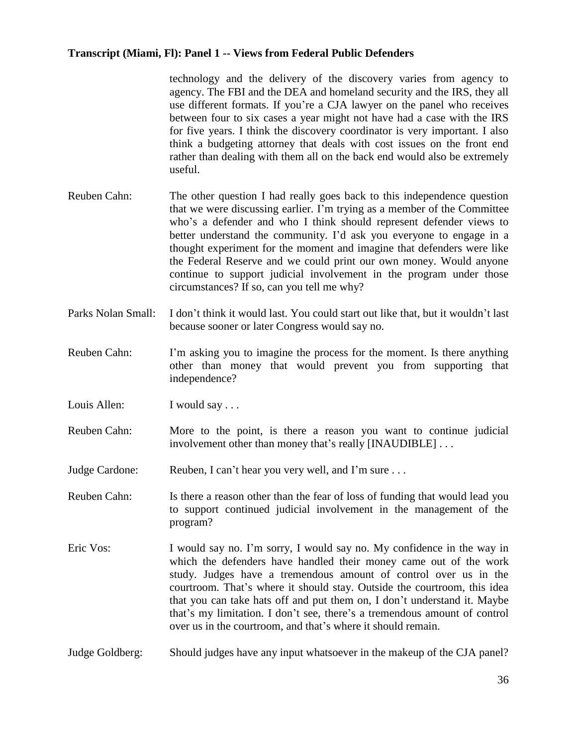technology and the delivery of the discovery varies from agency to agency. The FBI and the DEA and homeland security and the IRS, they all use different formats. If you're a CJA lawyer on the panel who receives between four to six cases a year might not have had a case with the IRS for five years. I think the discovery coordinator is very important. I also think a budgeting attorney that deals with cost issues on the front end rather than dealing with them all on the back end would also be extremely useful.

- Reuben Cahn: The other question I had really goes back to this independence question that we were discussing earlier. I'm trying as a member of the Committee who's a defender and who I think should represent defender views to better understand the community. I'd ask you everyone to engage in a thought experiment for the moment and imagine that defenders were like the Federal Reserve and we could print our own money. Would anyone continue to support judicial involvement in the program under those circumstances? If so, can you tell me why?
- Parks Nolan Small: I don't think it would last. You could start out like that, but it wouldn't last because sooner or later Congress would say no.
- Reuben Cahn: I'm asking you to imagine the process for the moment. Is there anything other than money that would prevent you from supporting that independence?
- Louis Allen: I would say ...
- Reuben Cahn: More to the point, is there a reason you want to continue judicial involvement other than money that's really [INAUDIBLE] . . .
- Judge Cardone: Reuben, I can't hear you very well, and I'm sure . . .
- Reuben Cahn: Is there a reason other than the fear of loss of funding that would lead you to support continued judicial involvement in the management of the program?
- Eric Vos: I would say no. I'm sorry, I would say no. My confidence in the way in which the defenders have handled their money came out of the work study. Judges have a tremendous amount of control over us in the courtroom. That's where it should stay. Outside the courtroom, this idea that you can take hats off and put them on, I don't understand it. Maybe that's my limitation. I don't see, there's a tremendous amount of control over us in the courtroom, and that's where it should remain.
- Judge Goldberg: Should judges have any input whatsoever in the makeup of the CJA panel?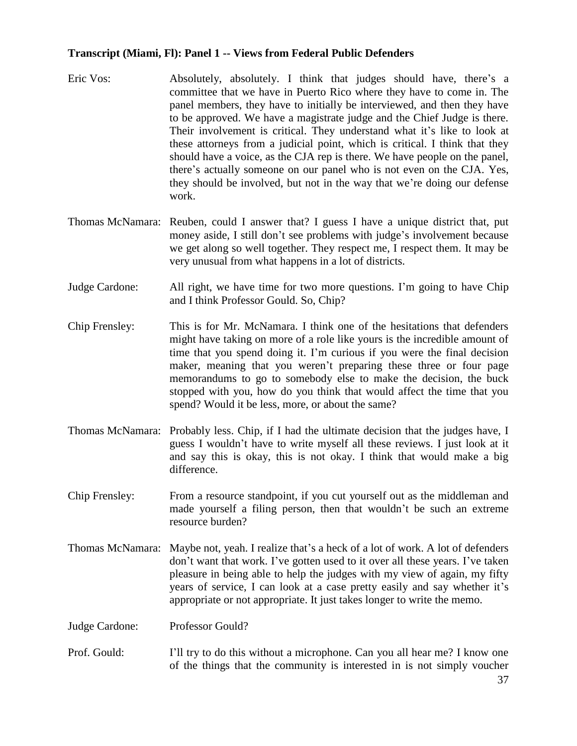- Eric Vos: Absolutely, absolutely. I think that judges should have, there's a committee that we have in Puerto Rico where they have to come in. The panel members, they have to initially be interviewed, and then they have to be approved. We have a magistrate judge and the Chief Judge is there. Their involvement is critical. They understand what it's like to look at these attorneys from a judicial point, which is critical. I think that they should have a voice, as the CJA rep is there. We have people on the panel, there's actually someone on our panel who is not even on the CJA. Yes, they should be involved, but not in the way that we're doing our defense work.
- Thomas McNamara: Reuben, could I answer that? I guess I have a unique district that, put money aside, I still don't see problems with judge's involvement because we get along so well together. They respect me, I respect them. It may be very unusual from what happens in a lot of districts.
- Judge Cardone: All right, we have time for two more questions. I'm going to have Chip and I think Professor Gould. So, Chip?
- Chip Frensley: This is for Mr. McNamara. I think one of the hesitations that defenders might have taking on more of a role like yours is the incredible amount of time that you spend doing it. I'm curious if you were the final decision maker, meaning that you weren't preparing these three or four page memorandums to go to somebody else to make the decision, the buck stopped with you, how do you think that would affect the time that you spend? Would it be less, more, or about the same?
- Thomas McNamara: Probably less. Chip, if I had the ultimate decision that the judges have, I guess I wouldn't have to write myself all these reviews. I just look at it and say this is okay, this is not okay. I think that would make a big difference.
- Chip Frensley: From a resource standpoint, if you cut yourself out as the middleman and made yourself a filing person, then that wouldn't be such an extreme resource burden?
- Thomas McNamara: Maybe not, yeah. I realize that's a heck of a lot of work. A lot of defenders don't want that work. I've gotten used to it over all these years. I've taken pleasure in being able to help the judges with my view of again, my fifty years of service, I can look at a case pretty easily and say whether it's appropriate or not appropriate. It just takes longer to write the memo.
- Judge Cardone: Professor Gould?
- Prof. Gould: I'll try to do this without a microphone. Can you all hear me? I know one of the things that the community is interested in is not simply voucher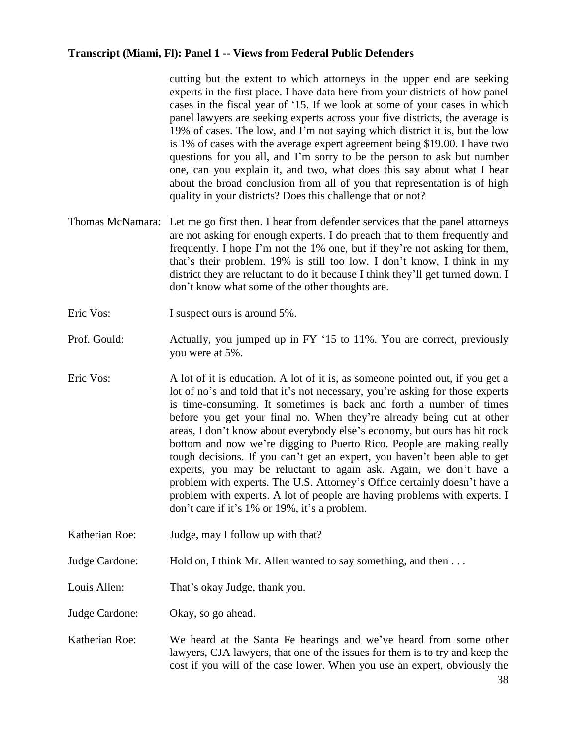cutting but the extent to which attorneys in the upper end are seeking experts in the first place. I have data here from your districts of how panel cases in the fiscal year of '15. If we look at some of your cases in which panel lawyers are seeking experts across your five districts, the average is 19% of cases. The low, and I'm not saying which district it is, but the low is 1% of cases with the average expert agreement being \$19.00. I have two questions for you all, and I'm sorry to be the person to ask but number one, can you explain it, and two, what does this say about what I hear about the broad conclusion from all of you that representation is of high quality in your districts? Does this challenge that or not?

- Thomas McNamara: Let me go first then. I hear from defender services that the panel attorneys are not asking for enough experts. I do preach that to them frequently and frequently. I hope I'm not the 1% one, but if they're not asking for them, that's their problem. 19% is still too low. I don't know, I think in my district they are reluctant to do it because I think they'll get turned down. I don't know what some of the other thoughts are.
- Eric Vos: I suspect ours is around 5%.
- Prof. Gould: Actually, you jumped up in FY '15 to 11%. You are correct, previously you were at 5%.
- Eric Vos: A lot of it is education. A lot of it is, as someone pointed out, if you get a lot of no's and told that it's not necessary, you're asking for those experts is time-consuming. It sometimes is back and forth a number of times before you get your final no. When they're already being cut at other areas, I don't know about everybody else's economy, but ours has hit rock bottom and now we're digging to Puerto Rico. People are making really tough decisions. If you can't get an expert, you haven't been able to get experts, you may be reluctant to again ask. Again, we don't have a problem with experts. The U.S. Attorney's Office certainly doesn't have a problem with experts. A lot of people are having problems with experts. I don't care if it's 1% or 19%, it's a problem.
- Katherian Roe: Judge, may I follow up with that?
- Judge Cardone: Hold on, I think Mr. Allen wanted to say something, and then ...
- Louis Allen: That's okay Judge, thank you.

Judge Cardone: Okay, so go ahead.

Katherian Roe: We heard at the Santa Fe hearings and we've heard from some other lawyers, CJA lawyers, that one of the issues for them is to try and keep the cost if you will of the case lower. When you use an expert, obviously the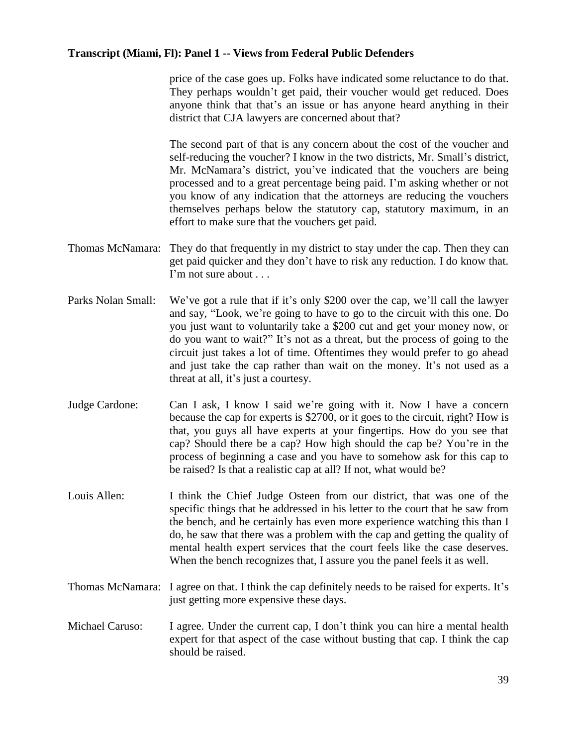price of the case goes up. Folks have indicated some reluctance to do that. They perhaps wouldn't get paid, their voucher would get reduced. Does anyone think that that's an issue or has anyone heard anything in their district that CJA lawyers are concerned about that?

The second part of that is any concern about the cost of the voucher and self-reducing the voucher? I know in the two districts, Mr. Small's district, Mr. McNamara's district, you've indicated that the vouchers are being processed and to a great percentage being paid. I'm asking whether or not you know of any indication that the attorneys are reducing the vouchers themselves perhaps below the statutory cap, statutory maximum, in an effort to make sure that the vouchers get paid.

- Thomas McNamara: They do that frequently in my district to stay under the cap. Then they can get paid quicker and they don't have to risk any reduction. I do know that. I'm not sure about . . .
- Parks Nolan Small: We've got a rule that if it's only \$200 over the cap, we'll call the lawyer and say, "Look, we're going to have to go to the circuit with this one. Do you just want to voluntarily take a \$200 cut and get your money now, or do you want to wait?" It's not as a threat, but the process of going to the circuit just takes a lot of time. Oftentimes they would prefer to go ahead and just take the cap rather than wait on the money. It's not used as a threat at all, it's just a courtesy.
- Judge Cardone: Can I ask, I know I said we're going with it. Now I have a concern because the cap for experts is \$2700, or it goes to the circuit, right? How is that, you guys all have experts at your fingertips. How do you see that cap? Should there be a cap? How high should the cap be? You're in the process of beginning a case and you have to somehow ask for this cap to be raised? Is that a realistic cap at all? If not, what would be?
- Louis Allen: I think the Chief Judge Osteen from our district, that was one of the specific things that he addressed in his letter to the court that he saw from the bench, and he certainly has even more experience watching this than I do, he saw that there was a problem with the cap and getting the quality of mental health expert services that the court feels like the case deserves. When the bench recognizes that, I assure you the panel feels it as well.
- Thomas McNamara: I agree on that. I think the cap definitely needs to be raised for experts. It's just getting more expensive these days.
- Michael Caruso: I agree. Under the current cap, I don't think you can hire a mental health expert for that aspect of the case without busting that cap. I think the cap should be raised.